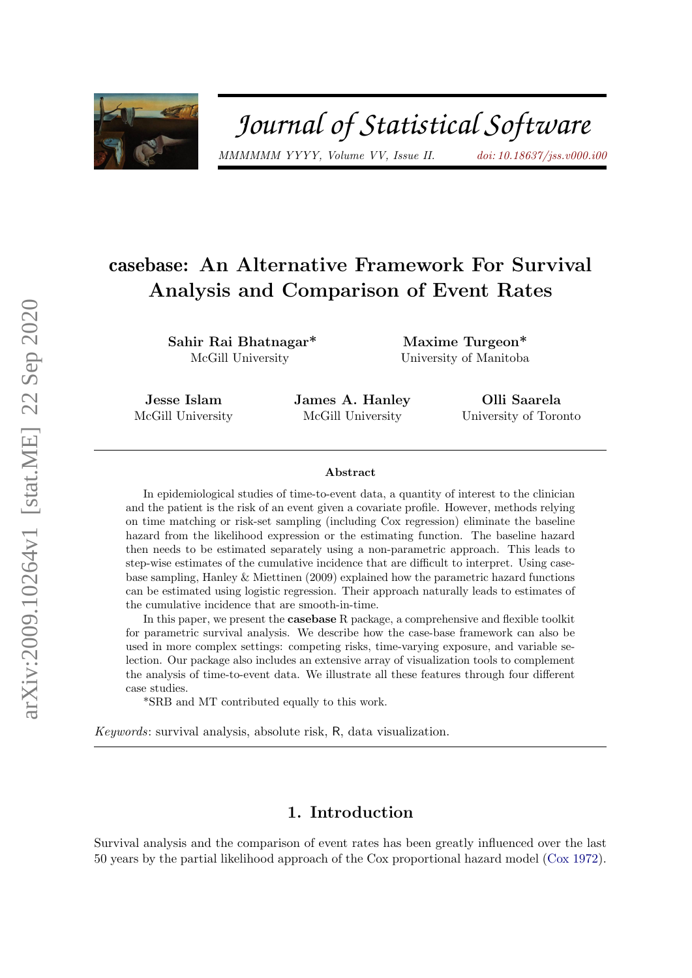

# Journal of Statistical Software

MMMMMM YYYY, Volume VV, Issue II. [doi: 10.18637/jss.v000.i00](https://doi.org/10.18637/jss.v000.i00)

# casebase: An Alternative Framework For Survival Analysis and Comparison of Event Rates

Sahir Rai Bhatnagar\* McGill University

Maxime Turgeon\* University of Manitoba

Jesse Islam McGill University James A. Hanley McGill University

Olli Saarela University of Toronto

#### Abstract

In epidemiological studies of time-to-event data, a quantity of interest to the clinician and the patient is the risk of an event given a covariate profile. However, methods relying on time matching or risk-set sampling (including Cox regression) eliminate the baseline hazard from the likelihood expression or the estimating function. The baseline hazard then needs to be estimated separately using a non-parametric approach. This leads to step-wise estimates of the cumulative incidence that are difficult to interpret. Using casebase sampling, Hanley & Miettinen (2009) explained how the parametric hazard functions can be estimated using logistic regression. Their approach naturally leads to estimates of the cumulative incidence that are smooth-in-time.

In this paper, we present the **casebase** R package, a comprehensive and flexible toolkit for parametric survival analysis. We describe how the case-base framework can also be used in more complex settings: competing risks, time-varying exposure, and variable selection. Our package also includes an extensive array of visualization tools to complement the analysis of time-to-event data. We illustrate all these features through four different case studies.

\*SRB and MT contributed equally to this work.

Keywords: survival analysis, absolute risk, R, data visualization.

# 1. Introduction

Survival analysis and the comparison of event rates has been greatly influenced over the last 50 years by the partial likelihood approach of the Cox proportional hazard model [\(Cox](#page-27-0) [1972\)](#page-27-0).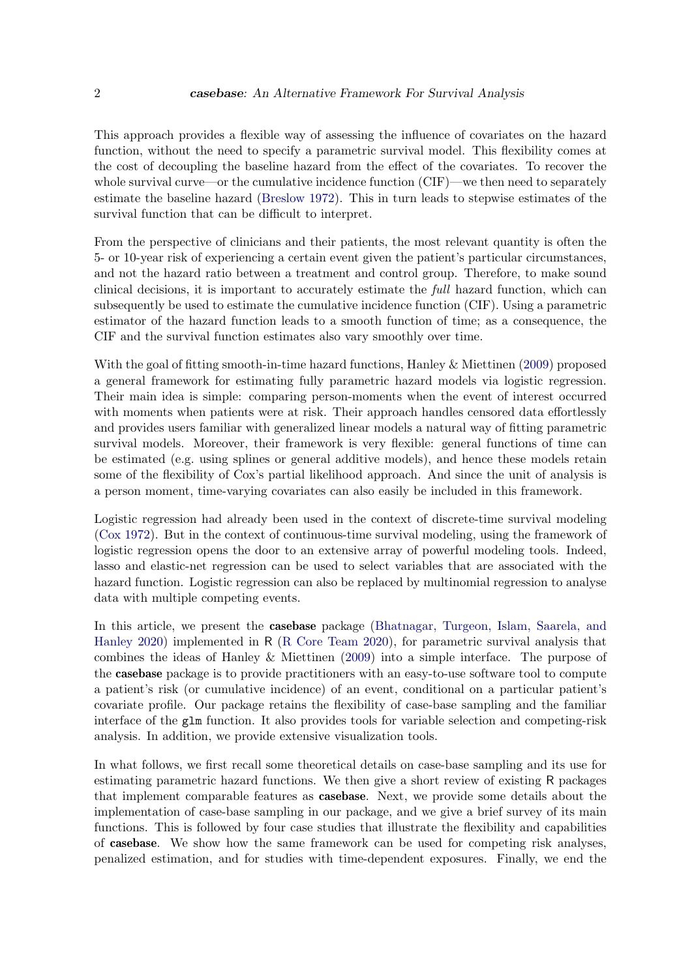This approach provides a flexible way of assessing the influence of covariates on the hazard function, without the need to specify a parametric survival model. This flexibility comes at the cost of decoupling the baseline hazard from the effect of the covariates. To recover the whole survival curve—or the cumulative incidence function (CIF)—we then need to separately estimate the baseline hazard [\(Breslow](#page-26-0) [1972\)](#page-26-0). This in turn leads to stepwise estimates of the survival function that can be difficult to interpret.

From the perspective of clinicians and their patients, the most relevant quantity is often the 5- or 10-year risk of experiencing a certain event given the patient's particular circumstances, and not the hazard ratio between a treatment and control group. Therefore, to make sound clinical decisions, it is important to accurately estimate the full hazard function, which can subsequently be used to estimate the cumulative incidence function (CIF). Using a parametric estimator of the hazard function leads to a smooth function of time; as a consequence, the CIF and the survival function estimates also vary smoothly over time.

With the goal of fitting smooth-in-time hazard functions, Hanley & Miettinen [\(2009\)](#page-27-1) proposed a general framework for estimating fully parametric hazard models via logistic regression. Their main idea is simple: comparing person-moments when the event of interest occurred with moments when patients were at risk. Their approach handles censored data effortlessly and provides users familiar with generalized linear models a natural way of fitting parametric survival models. Moreover, their framework is very flexible: general functions of time can be estimated (e.g. using splines or general additive models), and hence these models retain some of the flexibility of Cox's partial likelihood approach. And since the unit of analysis is a person moment, time-varying covariates can also easily be included in this framework.

Logistic regression had already been used in the context of discrete-time survival modeling [\(Cox](#page-27-0) [1972\)](#page-27-0). But in the context of continuous-time survival modeling, using the framework of logistic regression opens the door to an extensive array of powerful modeling tools. Indeed, lasso and elastic-net regression can be used to select variables that are associated with the hazard function. Logistic regression can also be replaced by multinomial regression to analyse data with multiple competing events.

In this article, we present the casebase package [\(Bhatnagar, Turgeon, Islam, Saarela, and](#page-26-1) [Hanley](#page-26-1) [2020\)](#page-26-1) implemented in R [\(R Core Team](#page-28-0) [2020\)](#page-28-0), for parametric survival analysis that combines the ideas of Hanley & Miettinen [\(2009\)](#page-27-1) into a simple interface. The purpose of the casebase package is to provide practitioners with an easy-to-use software tool to compute a patient's risk (or cumulative incidence) of an event, conditional on a particular patient's covariate profile. Our package retains the flexibility of case-base sampling and the familiar interface of the glm function. It also provides tools for variable selection and competing-risk analysis. In addition, we provide extensive visualization tools.

In what follows, we first recall some theoretical details on case-base sampling and its use for estimating parametric hazard functions. We then give a short review of existing R packages that implement comparable features as casebase. Next, we provide some details about the implementation of case-base sampling in our package, and we give a brief survey of its main functions. This is followed by four case studies that illustrate the flexibility and capabilities of casebase. We show how the same framework can be used for competing risk analyses, penalized estimation, and for studies with time-dependent exposures. Finally, we end the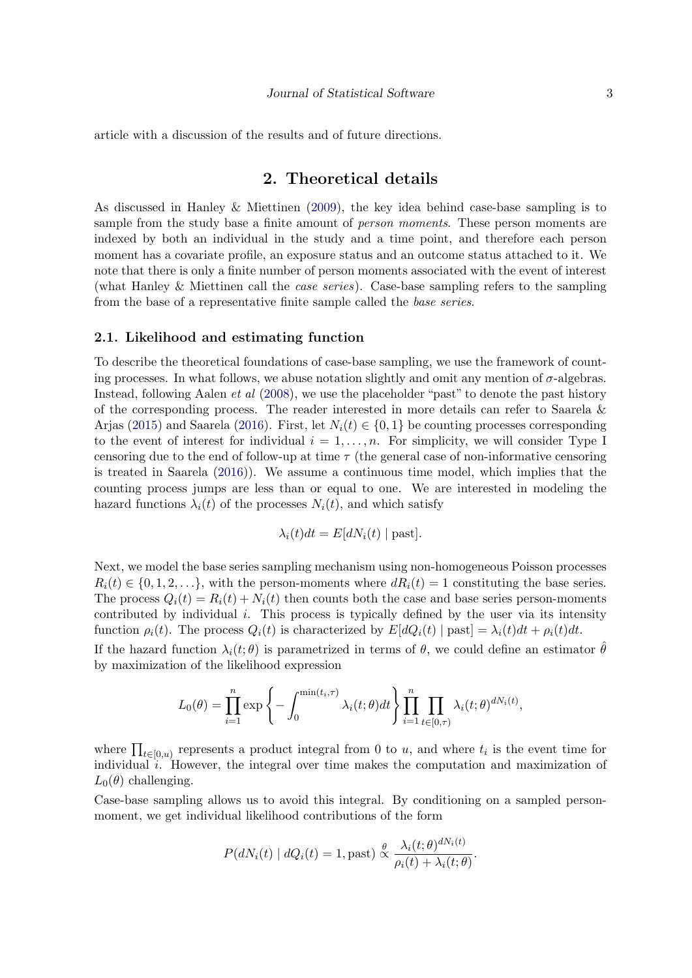article with a discussion of the results and of future directions.

# 2. Theoretical details

<span id="page-2-0"></span>As discussed in Hanley & Miettinen [\(2009\)](#page-27-1), the key idea behind case-base sampling is to sample from the study base a finite amount of *person moments*. These person moments are indexed by both an individual in the study and a time point, and therefore each person moment has a covariate profile, an exposure status and an outcome status attached to it. We note that there is only a finite number of person moments associated with the event of interest (what Hanley & Miettinen call the *case series*). Case-base sampling refers to the sampling from the base of a representative finite sample called the base series.

#### 2.1. Likelihood and estimating function

To describe the theoretical foundations of case-base sampling, we use the framework of counting processes. In what follows, we abuse notation slightly and omit any mention of  $\sigma$ -algebras. Instead, following Aalen *et al* [\(2008\)](#page-26-2), we use the placeholder "past" to denote the past history of the corresponding process. The reader interested in more details can refer to Saarela & Arjas [\(2015\)](#page-28-1) and Saarela [\(2016\)](#page-28-2). First, let  $N_i(t) \in \{0, 1\}$  be counting processes corresponding to the event of interest for individual  $i = 1, \ldots, n$ . For simplicity, we will consider Type I censoring due to the end of follow-up at time  $\tau$  (the general case of non-informative censoring is treated in Saarela [\(2016\)](#page-28-2)). We assume a continuous time model, which implies that the counting process jumps are less than or equal to one. We are interested in modeling the hazard functions  $\lambda_i(t)$  of the processes  $N_i(t)$ , and which satisfy

$$
\lambda_i(t)dt = E[dN_i(t) | past].
$$

Next, we model the base series sampling mechanism using non-homogeneous Poisson processes  $R_i(t) \in \{0, 1, 2, \ldots\}$ , with the person-moments where  $dR_i(t) = 1$  constituting the base series. The process  $Q_i(t) = R_i(t) + N_i(t)$  then counts both the case and base series person-moments contributed by individual  $i$ . This process is typically defined by the user via its intensity function  $\rho_i(t)$ . The process  $Q_i(t)$  is characterized by  $E[dQ_i(t) | past] = \lambda_i(t)dt + \rho_i(t)dt$ .

If the hazard function  $\lambda_i(t;\theta)$  is parametrized in terms of  $\theta$ , we could define an estimator  $\hat{\theta}$ by maximization of the likelihood expression

$$
L_0(\theta) = \prod_{i=1}^n \exp\left\{-\int_0^{\min(t_i,\tau)} \lambda_i(t;\theta)dt\right\} \prod_{i=1}^n \prod_{t \in [0,\tau)} \lambda_i(t;\theta)^{dN_i(t)},
$$

where  $\prod_{t\in[0,u)}$  represents a product integral from 0 to u, and where  $t_i$  is the event time for individual  $i$ . However, the integral over time makes the computation and maximization of  $L_0(\theta)$  challenging.

Case-base sampling allows us to avoid this integral. By conditioning on a sampled personmoment, we get individual likelihood contributions of the form

$$
P(dN_i(t) | dQ_i(t) = 1, \text{past}) \overset{\theta}{\propto} \frac{\lambda_i(t; \theta)^{dN_i(t)}}{\rho_i(t) + \lambda_i(t; \theta)}.
$$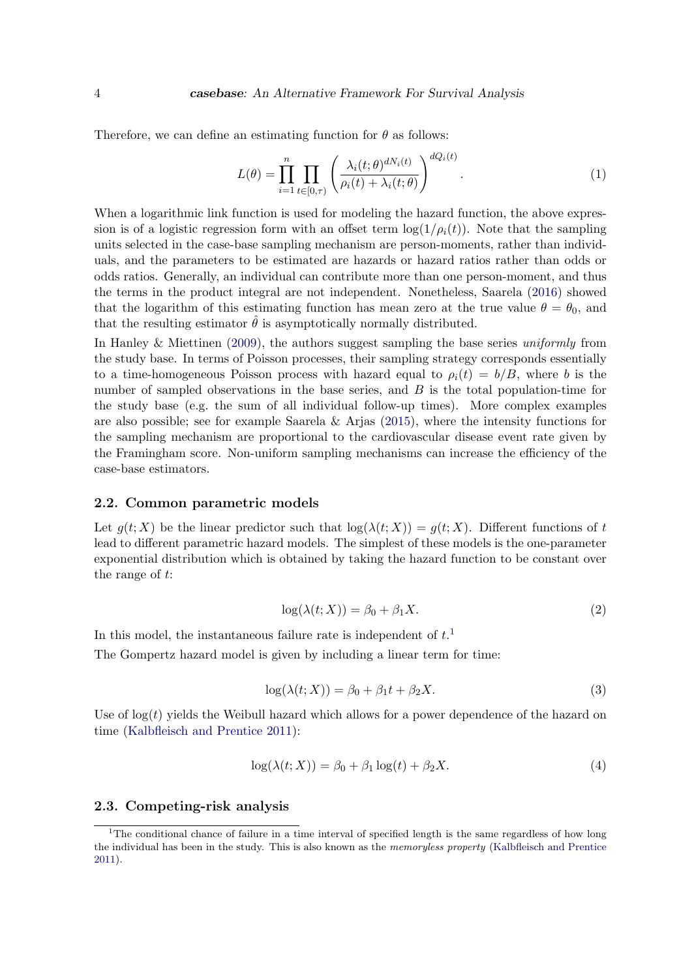Therefore, we can define an estimating function for  $\theta$  as follows:

<span id="page-3-1"></span>
$$
L(\theta) = \prod_{i=1}^{n} \prod_{t \in [0,\tau)} \left( \frac{\lambda_i(t; \theta)^{dN_i(t)}}{\rho_i(t) + \lambda_i(t; \theta)} \right)^{dQ_i(t)}.
$$
 (1)

When a logarithmic link function is used for modeling the hazard function, the above expression is of a logistic regression form with an offset term  $\log(1/\rho_i(t))$ . Note that the sampling units selected in the case-base sampling mechanism are person-moments, rather than individuals, and the parameters to be estimated are hazards or hazard ratios rather than odds or odds ratios. Generally, an individual can contribute more than one person-moment, and thus the terms in the product integral are not independent. Nonetheless, Saarela [\(2016\)](#page-28-2) showed that the logarithm of this estimating function has mean zero at the true value  $\theta = \theta_0$ , and that the resulting estimator  $\hat{\theta}$  is asymptotically normally distributed.

In Hanley & Miettinen [\(2009\)](#page-27-1), the authors suggest sampling the base series *uniformly* from the study base. In terms of Poisson processes, their sampling strategy corresponds essentially to a time-homogeneous Poisson process with hazard equal to  $\rho_i(t) = b/B$ , where b is the number of sampled observations in the base series, and  $B$  is the total population-time for the study base (e.g. the sum of all individual follow-up times). More complex examples are also possible; see for example Saarela & Arjas  $(2015)$ , where the intensity functions for the sampling mechanism are proportional to the cardiovascular disease event rate given by the Framingham score. Non-uniform sampling mechanisms can increase the efficiency of the case-base estimators.

#### 2.2. Common parametric models

Let  $q(t; X)$  be the linear predictor such that  $log(\lambda(t; X)) = q(t; X)$ . Different functions of t lead to different parametric hazard models. The simplest of these models is the one-parameter exponential distribution which is obtained by taking the hazard function to be constant over the range of t:

$$
log(\lambda(t;X)) = \beta_0 + \beta_1 X.
$$
\n(2)

<span id="page-3-3"></span><span id="page-3-2"></span>In this model, the instantaneous failure rate is independent of  $t<sup>1</sup>$  $t<sup>1</sup>$  $t<sup>1</sup>$ The Gompertz hazard model is given by including a linear term for time:

$$
log(\lambda(t;X)) = \beta_0 + \beta_1 t + \beta_2 X.
$$
\n(3)

<span id="page-3-4"></span>Use of  $log(t)$  yields the Weibull hazard which allows for a power dependence of the hazard on time [\(Kalbfleisch and Prentice](#page-27-2) [2011\)](#page-27-2):

$$
log(\lambda(t;X)) = \beta_0 + \beta_1 log(t) + \beta_2 X.
$$
\n(4)

#### 2.3. Competing-risk analysis

<span id="page-3-0"></span><sup>&</sup>lt;sup>1</sup>The conditional chance of failure in a time interval of specified length is the same regardless of how long the individual has been in the study. This is also known as the memoryless property [\(Kalbfleisch and Prentice](#page-27-2) [2011\)](#page-27-2).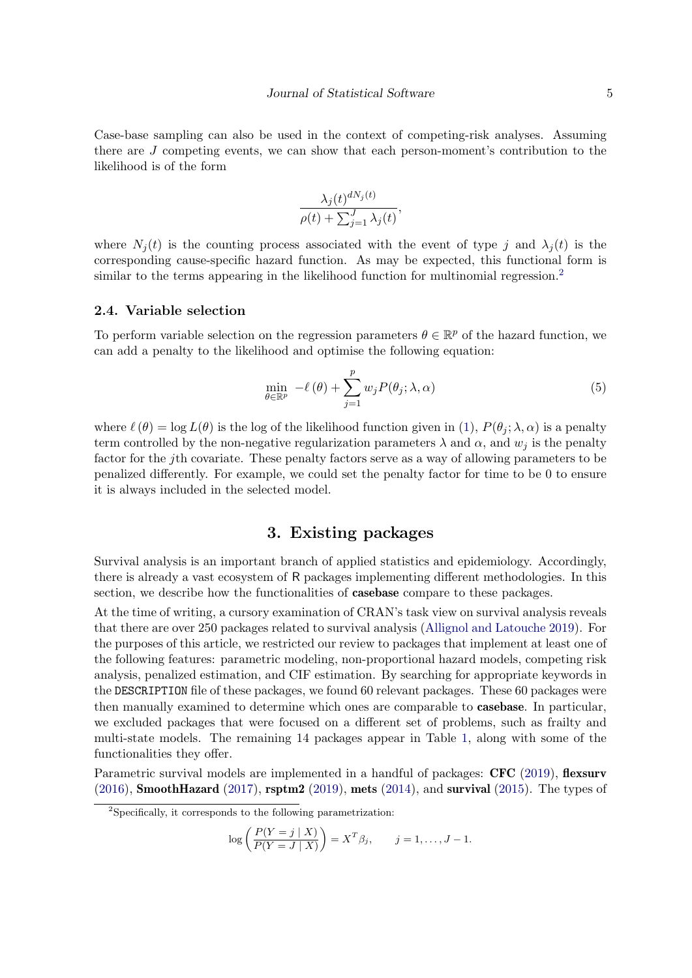Case-base sampling can also be used in the context of competing-risk analyses. Assuming there are J competing events, we can show that each person-moment's contribution to the likelihood is of the form

$$
\frac{\lambda_j(t)^{dN_j(t)}}{\rho(t) + \sum_{j=1}^J \lambda_j(t)},
$$

where  $N_j(t)$  is the counting process associated with the event of type j and  $\lambda_j(t)$  is the corresponding cause-specific hazard function. As may be expected, this functional form is similar to the terms appearing in the likelihood function for multinomial regression.<sup>[2](#page-4-0)</sup>

#### 2.4. Variable selection

To perform variable selection on the regression parameters  $\theta \in \mathbb{R}^p$  of the hazard function, we can add a penalty to the likelihood and optimise the following equation:

<span id="page-4-1"></span>
$$
\min_{\theta \in \mathbb{R}^p} -\ell(\theta) + \sum_{j=1}^p w_j P(\theta_j; \lambda, \alpha) \tag{5}
$$

where  $\ell(\theta) = \log L(\theta)$  is the log of the likelihood function given in [\(1\)](#page-3-1),  $P(\theta_i; \lambda, \alpha)$  is a penalty term controlled by the non-negative regularization parameters  $\lambda$  and  $\alpha$ , and  $w_i$  is the penalty factor for the jth covariate. These penalty factors serve as a way of allowing parameters to be penalized differently. For example, we could set the penalty factor for time to be 0 to ensure it is always included in the selected model.

#### 3. Existing packages

Survival analysis is an important branch of applied statistics and epidemiology. Accordingly, there is already a vast ecosystem of R packages implementing different methodologies. In this section, we describe how the functionalities of casebase compare to these packages.

At the time of writing, a cursory examination of CRAN's task view on survival analysis reveals that there are over 250 packages related to survival analysis [\(Allignol and Latouche](#page-26-3) [2019\)](#page-26-3). For the purposes of this article, we restricted our review to packages that implement at least one of the following features: parametric modeling, non-proportional hazard models, competing risk analysis, penalized estimation, and CIF estimation. By searching for appropriate keywords in the DESCRIPTION file of these packages, we found 60 relevant packages. These 60 packages were then manually examined to determine which ones are comparable to casebase. In particular, we excluded packages that were focused on a different set of problems, such as frailty and multi-state models. The remaining 14 packages appear in Table [1,](#page-6-0) along with some of the functionalities they offer.

Parametric survival models are implemented in a handful of packages: **CFC** [\(2019\)](#page-28-3), **flexsurv**  $(2016)$ , **SmoothHazard**  $(2017)$ , **rsptm2**  $(2019)$ , **mets**  $(2014)$ , and **survival**  $(2015)$ . The types of

$$
\log\left(\frac{P(Y=j\mid X)}{P(Y=J\mid X)}\right)=X^T\beta_j, \qquad j=1,\ldots,J-1.
$$

<span id="page-4-0"></span><sup>2</sup>Specifically, it corresponds to the following parametrization: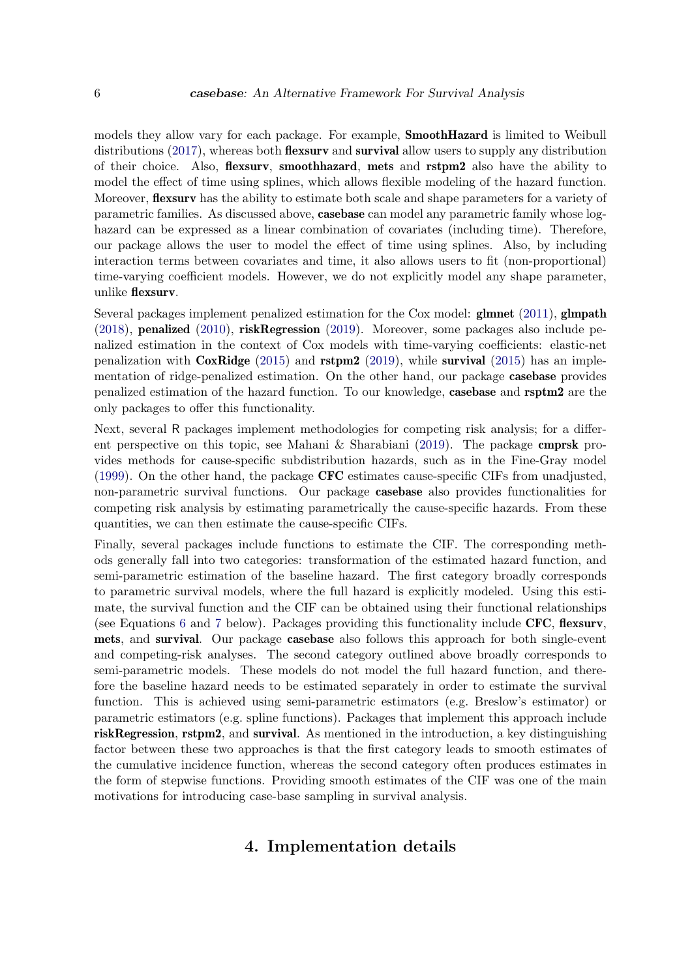models they allow vary for each package. For example, SmoothHazard is limited to Weibull distributions [\(2017\)](#page-28-4), whereas both **flexsurv** and **survival** allow users to supply any distribution of their choice. Also, flexsurv, smoothhazard, mets and rstpm2 also have the ability to model the effect of time using splines, which allows flexible modeling of the hazard function. Moreover, **flexsurv** has the ability to estimate both scale and shape parameters for a variety of parametric families. As discussed above, casebase can model any parametric family whose loghazard can be expressed as a linear combination of covariates (including time). Therefore, our package allows the user to model the effect of time using splines. Also, by including interaction terms between covariates and time, it also allows users to fit (non-proportional) time-varying coefficient models. However, we do not explicitly model any shape parameter, unlike flexsurv.

Several packages implement penalized estimation for the Cox model:  $g$ lmnet [\(2011\)](#page-28-7),  $g$ lmpath [\(2018\)](#page-28-8), penalized [\(2010\)](#page-27-5), riskRegression [\(2019\)](#page-27-6). Moreover, some packages also include penalized estimation in the context of Cox models with time-varying coefficients: elastic-net penalization with  $\text{CoxRidge}$  [\(2015\)](#page-28-6) and  $\text{rstpm2}$  [\(2019\)](#page-27-4), while survival (2015) has an implementation of ridge-penalized estimation. On the other hand, our package casebase provides penalized estimation of the hazard function. To our knowledge, casebase and rsptm2 are the only packages to offer this functionality.

Next, several R packages implement methodologies for competing risk analysis; for a different perspective on this topic, see Mahani  $\&$  Sharabiani [\(2019\)](#page-28-3). The package **cmprsk** provides methods for cause-specific subdistribution hazards, such as in the Fine-Gray model [\(1999\)](#page-27-7). On the other hand, the package CFC estimates cause-specific CIFs from unadjusted, non-parametric survival functions. Our package casebase also provides functionalities for competing risk analysis by estimating parametrically the cause-specific hazards. From these quantities, we can then estimate the cause-specific CIFs.

Finally, several packages include functions to estimate the CIF. The corresponding methods generally fall into two categories: transformation of the estimated hazard function, and semi-parametric estimation of the baseline hazard. The first category broadly corresponds to parametric survival models, where the full hazard is explicitly modeled. Using this estimate, the survival function and the CIF can be obtained using their functional relationships (see Equations [6](#page-9-0) and [7](#page-10-0) below). Packages providing this functionality include CFC, flexsurv, mets, and survival. Our package casebase also follows this approach for both single-event and competing-risk analyses. The second category outlined above broadly corresponds to semi-parametric models. These models do not model the full hazard function, and therefore the baseline hazard needs to be estimated separately in order to estimate the survival function. This is achieved using semi-parametric estimators (e.g. Breslow's estimator) or parametric estimators (e.g. spline functions). Packages that implement this approach include riskRegression, rstpm2, and survival. As mentioned in the introduction, a key distinguishing factor between these two approaches is that the first category leads to smooth estimates of the cumulative incidence function, whereas the second category often produces estimates in the form of stepwise functions. Providing smooth estimates of the CIF was one of the main motivations for introducing case-base sampling in survival analysis.

# 4. Implementation details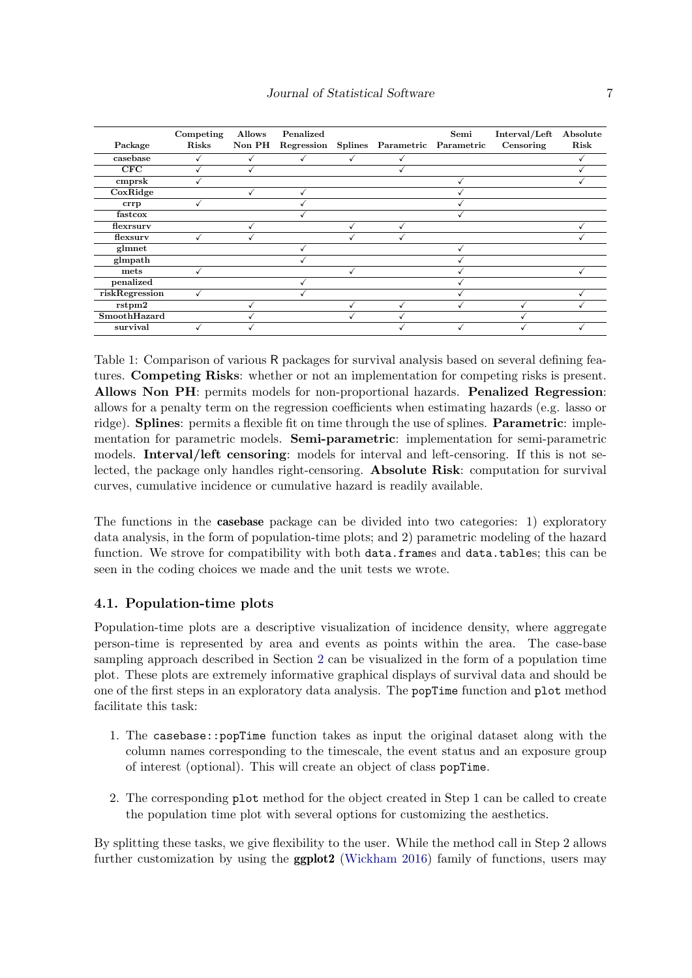| Package        | Competing<br>Risks | <b>Allows</b><br>Non PH | Penalized<br>Regression | Splines Parametric Parametric | Semi | Interval/Left<br>Censoring | Absolute<br>Risk |
|----------------|--------------------|-------------------------|-------------------------|-------------------------------|------|----------------------------|------------------|
| casebase       |                    |                         |                         |                               |      |                            |                  |
| CFC            |                    |                         |                         |                               |      |                            |                  |
| cmprsk         |                    |                         |                         |                               |      |                            |                  |
| CoxRidge       |                    |                         |                         |                               |      |                            |                  |
| crrp           |                    |                         |                         |                               |      |                            |                  |
| fastcox        |                    |                         |                         |                               |      |                            |                  |
| flexrsury      |                    |                         |                         |                               |      |                            |                  |
| flexsury       |                    |                         |                         |                               |      |                            |                  |
| glmnet         |                    |                         |                         |                               |      |                            |                  |
| glmpath        |                    |                         |                         |                               |      |                            |                  |
| mets           |                    |                         |                         |                               |      |                            |                  |
| penalized      |                    |                         |                         |                               |      |                            |                  |
| riskRegression |                    |                         |                         |                               |      |                            |                  |
| rstpm2         |                    |                         |                         |                               |      |                            |                  |
| SmoothHazard   |                    |                         |                         |                               |      |                            |                  |
| survival       |                    |                         |                         |                               |      |                            |                  |

<span id="page-6-0"></span>Table 1: Comparison of various R packages for survival analysis based on several defining features. Competing Risks: whether or not an implementation for competing risks is present. Allows Non PH: permits models for non-proportional hazards. Penalized Regression: allows for a penalty term on the regression coefficients when estimating hazards (e.g. lasso or ridge). **Splines**: permits a flexible fit on time through the use of splines. **Parametric**: implementation for parametric models. **Semi-parametric**: implementation for semi-parametric models. Interval/left censoring: models for interval and left-censoring. If this is not selected, the package only handles right-censoring. Absolute Risk: computation for survival curves, cumulative incidence or cumulative hazard is readily available.

The functions in the casebase package can be divided into two categories: 1) exploratory data analysis, in the form of population-time plots; and 2) parametric modeling of the hazard function. We strove for compatibility with both data.frames and data.tables; this can be seen in the coding choices we made and the unit tests we wrote.

#### 4.1. Population-time plots

Population-time plots are a descriptive visualization of incidence density, where aggregate person-time is represented by area and events as points within the area. The case-base sampling approach described in Section [2](#page-2-0) can be visualized in the form of a population time plot. These plots are extremely informative graphical displays of survival data and should be one of the first steps in an exploratory data analysis. The popTime function and plot method facilitate this task:

- 1. The casebase::popTime function takes as input the original dataset along with the column names corresponding to the timescale, the event status and an exposure group of interest (optional). This will create an object of class popTime.
- 2. The corresponding plot method for the object created in Step 1 can be called to create the population time plot with several options for customizing the aesthetics.

By splitting these tasks, we give flexibility to the user. While the method call in Step 2 allows further customization by using the **ggplot2** [\(Wickham](#page-28-10) [2016\)](#page-28-10) family of functions, users may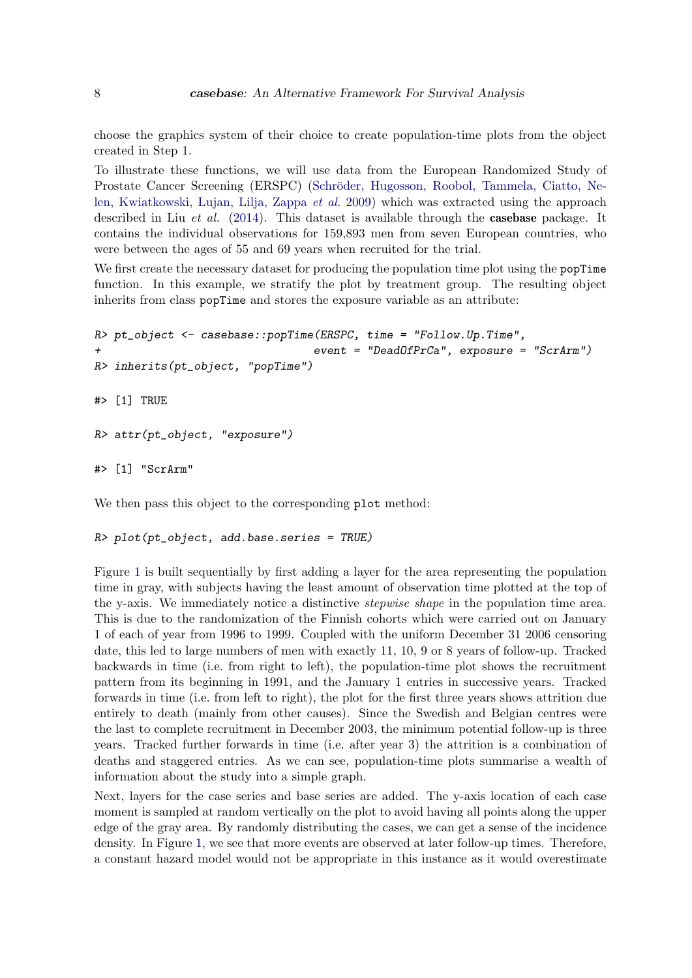choose the graphics system of their choice to create population-time plots from the object created in Step 1.

To illustrate these functions, we will use data from the European Randomized Study of Prostate Cancer Screening (ERSPC) (Schröder, Hugosson, Roobol, Tammela, Ciatto, Ne[len, Kwiatkowski, Lujan, Lilja, Zappa](#page-28-11) et al. [2009\)](#page-28-11) which was extracted using the approach described in Liu *et al.* [\(2014\)](#page-28-12). This dataset is available through the **casebase** package. It contains the individual observations for 159,893 men from seven European countries, who were between the ages of 55 and 69 years when recruited for the trial.

We first create the necessary dataset for producing the population time plot using the popTime function. In this example, we stratify the plot by treatment group. The resulting object inherits from class popTime and stores the exposure variable as an attribute:

```
R> pt_object <- casebase::popTime(ERSPC, time = "Follow.Up.Time",
                                  + event = "DeadOfPrCa", exposure = "ScrArm")
R> inherits(pt_object, "popTime")
#> [1] TRUE
R> attr(pt_object, "exposure")
#> [1] "ScrArm"
```
We then pass this object to the corresponding plot method:

```
R> plot(pt_object, add.base.series = TRUE)
```
Figure [1](#page-8-0) is built sequentially by first adding a layer for the area representing the population time in gray, with subjects having the least amount of observation time plotted at the top of the y-axis. We immediately notice a distinctive stepwise shape in the population time area. This is due to the randomization of the Finnish cohorts which were carried out on January 1 of each of year from 1996 to 1999. Coupled with the uniform December 31 2006 censoring date, this led to large numbers of men with exactly 11, 10, 9 or 8 years of follow-up. Tracked backwards in time (i.e. from right to left), the population-time plot shows the recruitment pattern from its beginning in 1991, and the January 1 entries in successive years. Tracked forwards in time (i.e. from left to right), the plot for the first three years shows attrition due entirely to death (mainly from other causes). Since the Swedish and Belgian centres were the last to complete recruitment in December 2003, the minimum potential follow-up is three years. Tracked further forwards in time (i.e. after year 3) the attrition is a combination of deaths and staggered entries. As we can see, population-time plots summarise a wealth of information about the study into a simple graph.

Next, layers for the case series and base series are added. The y-axis location of each case moment is sampled at random vertically on the plot to avoid having all points along the upper edge of the gray area. By randomly distributing the cases, we can get a sense of the incidence density. In Figure [1,](#page-8-0) we see that more events are observed at later follow-up times. Therefore, a constant hazard model would not be appropriate in this instance as it would overestimate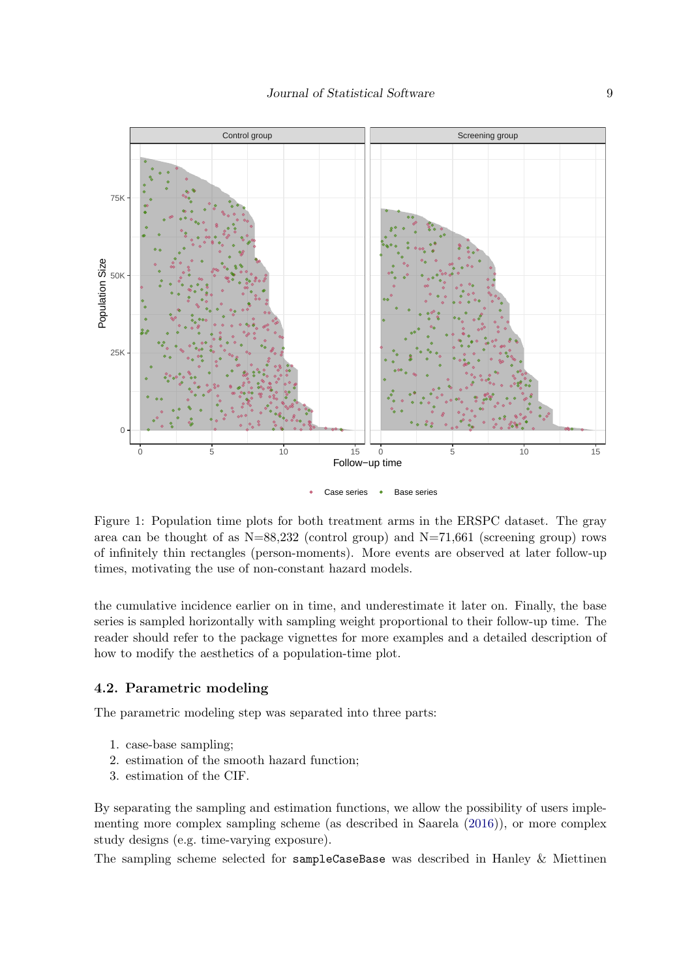

<span id="page-8-0"></span>Figure 1: Population time plots for both treatment arms in the ERSPC dataset. The gray area can be thought of as  $N=88,232$  (control group) and  $N=71,661$  (screening group) rows of infinitely thin rectangles (person-moments). More events are observed at later follow-up times, motivating the use of non-constant hazard models.

the cumulative incidence earlier on in time, and underestimate it later on. Finally, the base series is sampled horizontally with sampling weight proportional to their follow-up time. The reader should refer to the package vignettes for more examples and a detailed description of how to modify the aesthetics of a population-time plot.

#### 4.2. Parametric modeling

The parametric modeling step was separated into three parts:

- 1. case-base sampling;
- 2. estimation of the smooth hazard function;
- 3. estimation of the CIF.

By separating the sampling and estimation functions, we allow the possibility of users implementing more complex sampling scheme (as described in Saarela [\(2016\)](#page-28-2)), or more complex study designs (e.g. time-varying exposure).

The sampling scheme selected for sampleCaseBase was described in Hanley & Miettinen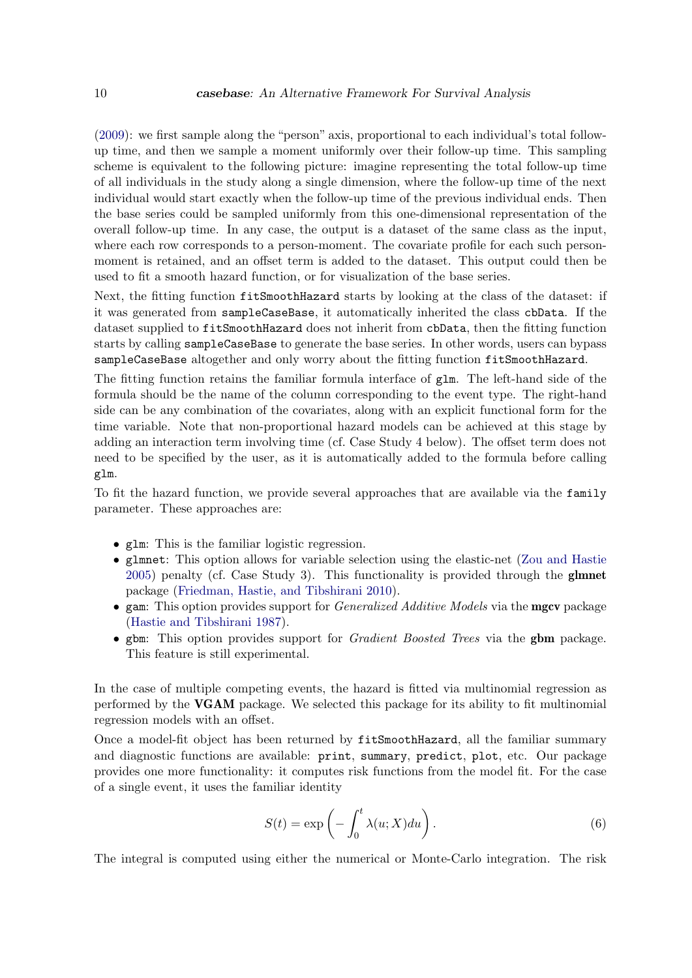[\(2009\)](#page-27-1): we first sample along the "person" axis, proportional to each individual's total followup time, and then we sample a moment uniformly over their follow-up time. This sampling scheme is equivalent to the following picture: imagine representing the total follow-up time of all individuals in the study along a single dimension, where the follow-up time of the next individual would start exactly when the follow-up time of the previous individual ends. Then the base series could be sampled uniformly from this one-dimensional representation of the overall follow-up time. In any case, the output is a dataset of the same class as the input, where each row corresponds to a person-moment. The covariate profile for each such personmoment is retained, and an offset term is added to the dataset. This output could then be used to fit a smooth hazard function, or for visualization of the base series.

Next, the fitting function fitSmoothHazard starts by looking at the class of the dataset: if it was generated from sampleCaseBase, it automatically inherited the class cbData. If the dataset supplied to fitSmoothHazard does not inherit from cbData, then the fitting function starts by calling sampleCaseBase to generate the base series. In other words, users can bypass sampleCaseBase altogether and only worry about the fitting function fitSmoothHazard.

The fitting function retains the familiar formula interface of glm. The left-hand side of the formula should be the name of the column corresponding to the event type. The right-hand side can be any combination of the covariates, along with an explicit functional form for the time variable. Note that non-proportional hazard models can be achieved at this stage by adding an interaction term involving time (cf. Case Study 4 below). The offset term does not need to be specified by the user, as it is automatically added to the formula before calling glm.

To fit the hazard function, we provide several approaches that are available via the family parameter. These approaches are:

- glm: This is the familiar logistic regression.
- glmnet: This option allows for variable selection using the elastic-net [\(Zou and Hastie](#page-29-0) [2005\)](#page-29-0) penalty (cf. Case Study 3). This functionality is provided through the glmnet package [\(Friedman, Hastie, and Tibshirani](#page-27-8) [2010\)](#page-27-8).
- gam: This option provides support for *Generalized Additive Models* via the **mgcv** package [\(Hastie and Tibshirani](#page-27-9) [1987\)](#page-27-9).
- gbm: This option provides support for *Gradient Boosted Trees* via the **gbm** package. This feature is still experimental.

In the case of multiple competing events, the hazard is fitted via multinomial regression as performed by the VGAM package. We selected this package for its ability to fit multinomial regression models with an offset.

Once a model-fit object has been returned by fitSmoothHazard, all the familiar summary and diagnostic functions are available: print, summary, predict, plot, etc. Our package provides one more functionality: it computes risk functions from the model fit. For the case of a single event, it uses the familiar identity

<span id="page-9-0"></span>
$$
S(t) = \exp\left(-\int_0^t \lambda(u;X)du\right).
$$
 (6)

The integral is computed using either the numerical or Monte-Carlo integration. The risk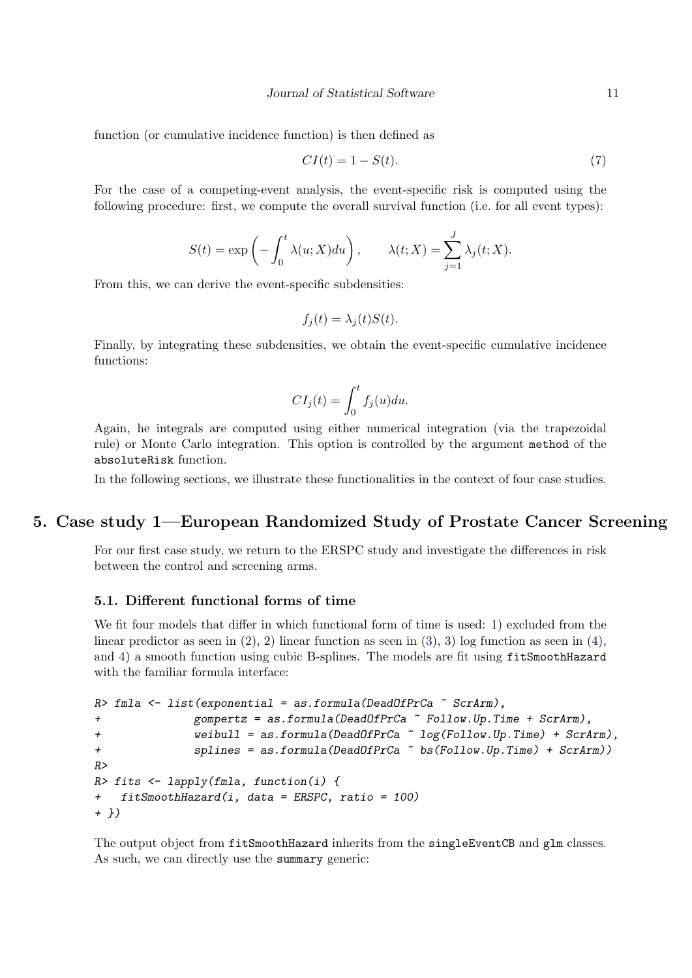function (or cumulative incidence function) is then defined as

<span id="page-10-0"></span>
$$
CI(t) = 1 - S(t). \tag{7}
$$

For the case of a competing-event analysis, the event-specific risk is computed using the following procedure: first, we compute the overall survival function (i.e. for all event types):

$$
S(t) = \exp\left(-\int_0^t \lambda(u;X)du\right), \qquad \lambda(t;X) = \sum_{j=1}^J \lambda_j(t;X).
$$

From this, we can derive the event-specific subdensities:

$$
f_j(t) = \lambda_j(t)S(t).
$$

Finally, by integrating these subdensities, we obtain the event-specific cumulative incidence functions:

$$
CI_j(t) = \int_0^t f_j(u) du.
$$

Again, he integrals are computed using either numerical integration (via the trapezoidal rule) or Monte Carlo integration. This option is controlled by the argument method of the absoluteRisk function.

In the following sections, we illustrate these functionalities in the context of four case studies.

# 5. Case study 1—European Randomized Study of Prostate Cancer Screening

For our first case study, we return to the ERSPC study and investigate the differences in risk between the control and screening arms.

#### 5.1. Different functional forms of time

We fit four models that differ in which functional form of time is used: 1) excluded from the linear predictor as seen in  $(2)$ , 2) linear function as seen in  $(3)$ , 3) log function as seen in  $(4)$ , and 4) a smooth function using cubic B-splines. The models are fit using fitSmoothHazard with the familiar formula interface:

```
R> fmla <- list(exponential = as.formula(DeadOfPrCa \tilde{C} ScrArm),
+ gompertz = as.formula(DeadOfPrCa ~ Follow.Up.Time + ScrArm),
+ weibull = as.formula(DeadOfPrCa ~ log(Follow.Up.Time) + ScrArm),
+ splines = as.formula(DeadOfPrCa ~ bs(Follow.Up.Time) + ScrArm))
R>
R> fits <- lapply(fmla, function(i) {
+ fitSmoothHazard(i, data = ERSPC, ratio = 100)
+ })
```
The output object from fitSmoothHazard inherits from the singleEventCB and glm classes. As such, we can directly use the summary generic: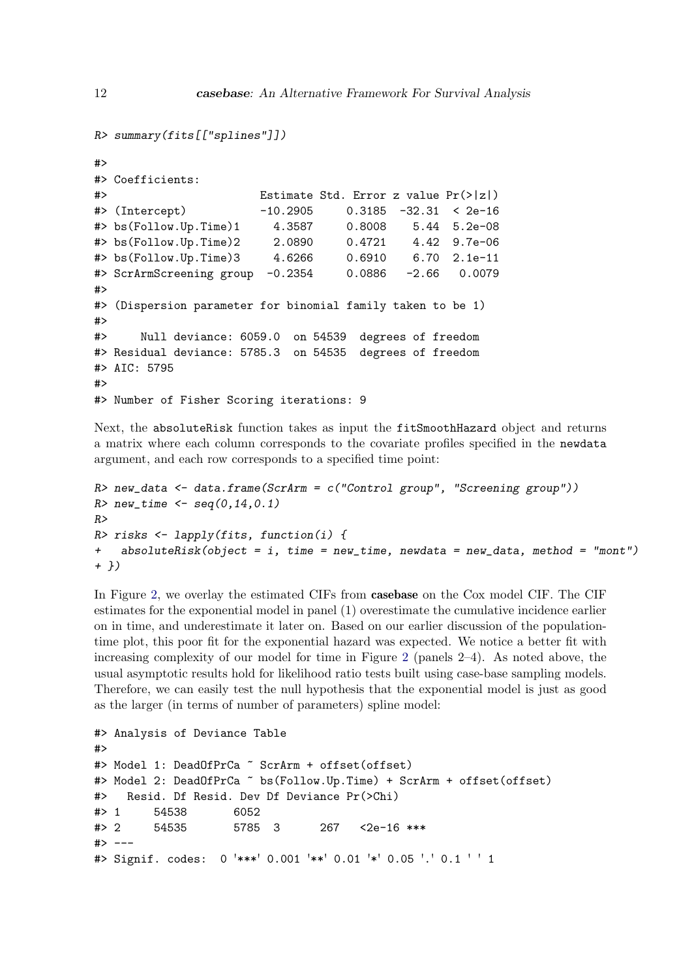```
R> summary(fits[["splines"]])
#>
#> Coefficients:
#> Estimate Std. Error z value Pr(>|z|)
#> (Intercept) -10.2905 0.3185 -32.31 < 2e-16
#> bs(Follow.Up.Time)1 4.3587 0.8008 5.44 5.2e-08
#> bs(Follow.Up.Time)2 2.0890 0.4721 4.42 9.7e-06
#> bs(Follow.Up.Time)3 4.6266 0.6910 6.70 2.1e-11
#> ScrArmScreening group -0.2354 0.0886 -2.66 0.0079
#>
#> (Dispersion parameter for binomial family taken to be 1)
#>
#> Null deviance: 6059.0 on 54539 degrees of freedom
#> Residual deviance: 5785.3 on 54535 degrees of freedom
#> AIC: 5795
#>
#> Number of Fisher Scoring iterations: 9
```
Next, the absoluteRisk function takes as input the fitSmoothHazard object and returns a matrix where each column corresponds to the covariate profiles specified in the newdata argument, and each row corresponds to a specified time point:

```
R> new_data <- data.frame(ScrArm = c("Control group", "Screening group"))
R new_time <- seq(0,14,0.1)
R>R> risks <- lapply(fits, function(i) {
+ absoluteRisk(object = i, time = new_time, newdata = new_data, method = "mont")
+ })
```
In Figure [2,](#page-12-0) we overlay the estimated CIFs from casebase on the Cox model CIF. The CIF estimates for the exponential model in panel (1) overestimate the cumulative incidence earlier on in time, and underestimate it later on. Based on our earlier discussion of the populationtime plot, this poor fit for the exponential hazard was expected. We notice a better fit with increasing complexity of our model for time in Figure [2](#page-12-0) (panels 2–4). As noted above, the usual asymptotic results hold for likelihood ratio tests built using case-base sampling models. Therefore, we can easily test the null hypothesis that the exponential model is just as good as the larger (in terms of number of parameters) spline model:

```
#> Analysis of Deviance Table
#>
#> Model 1: DeadOfPrCa ~ ScrArm + offset(offset)
#> Model 2: DeadOfPrCa ~ bs(Follow.Up.Time) + ScrArm + offset(offset)
#> Resid. Df Resid. Dev Df Deviance Pr(>Chi)
#> 1 54538 6052
#> 2 54535 5785 3 267 <2e-16 ***
#> ---
#> Signif. codes: 0 '***' 0.001 '**' 0.01 '*' 0.05 '.' 0.1 ' ' 1
```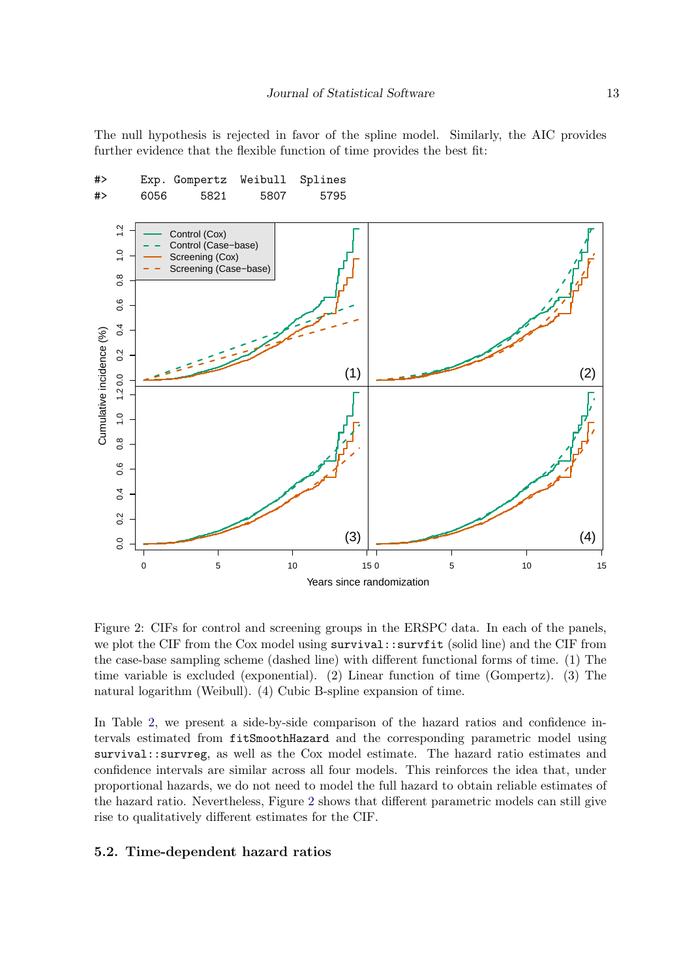The null hypothesis is rejected in favor of the spline model. Similarly, the AIC provides further evidence that the flexible function of time provides the best fit:



<span id="page-12-0"></span>Figure 2: CIFs for control and screening groups in the ERSPC data. In each of the panels, we plot the CIF from the Cox model using survival::survfit (solid line) and the CIF from the case-base sampling scheme (dashed line) with different functional forms of time. (1) The time variable is excluded (exponential). (2) Linear function of time (Gompertz). (3) The natural logarithm (Weibull). (4) Cubic B-spline expansion of time.

In Table [2,](#page-13-0) we present a side-by-side comparison of the hazard ratios and confidence intervals estimated from fitSmoothHazard and the corresponding parametric model using survival::survreg, as well as the Cox model estimate. The hazard ratio estimates and confidence intervals are similar across all four models. This reinforces the idea that, under proportional hazards, we do not need to model the full hazard to obtain reliable estimates of the hazard ratio. Nevertheless, Figure [2](#page-12-0) shows that different parametric models can still give rise to qualitatively different estimates for the CIF.

#### 5.2. Time-dependent hazard ratios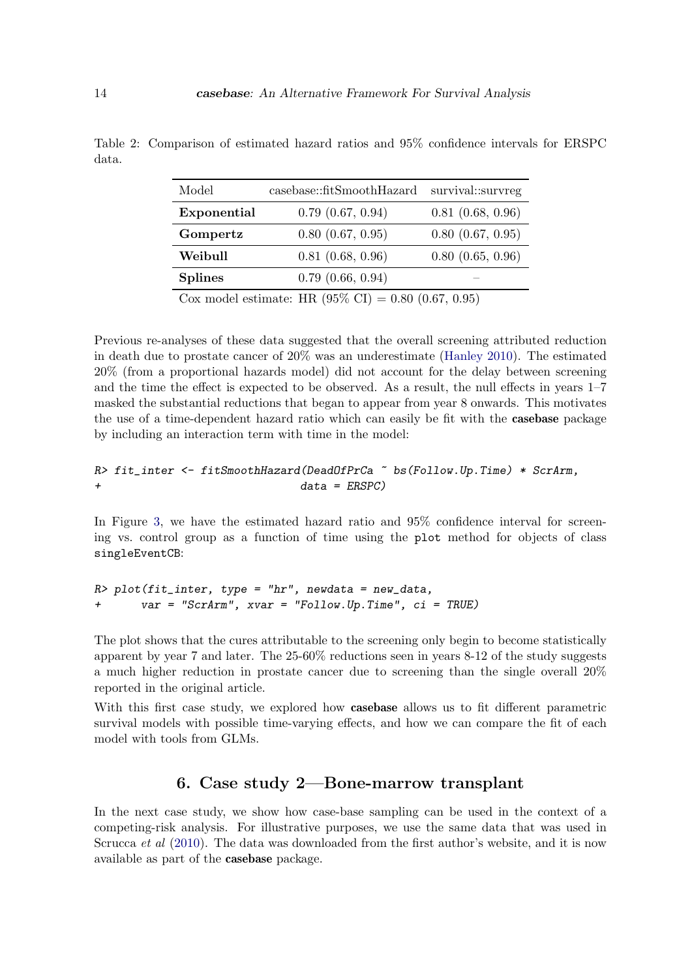| Model                                                          | casebase::fitSmoothHazard | survival::survreg     |  |  |
|----------------------------------------------------------------|---------------------------|-----------------------|--|--|
| Exponential                                                    | $0.79$ $(0.67, 0.94)$     | 0.81(0.68, 0.96)      |  |  |
| Gompertz                                                       | $0.80$ $(0.67, 0.95)$     | $0.80$ $(0.67, 0.95)$ |  |  |
| Weibull                                                        | 0.81(0.68, 0.96)          | 0.80(0.65, 0.96)      |  |  |
| <b>Splines</b>                                                 | $0.79$ $(0.66, 0.94)$     |                       |  |  |
| Cox model estimate: HR $(95\% \text{ CI}) = 0.80 (0.67, 0.95)$ |                           |                       |  |  |

<span id="page-13-0"></span>Table 2: Comparison of estimated hazard ratios and 95% confidence intervals for ERSPC data.

Previous re-analyses of these data suggested that the overall screening attributed reduction in death due to prostate cancer of 20% was an underestimate [\(Hanley](#page-27-10) [2010\)](#page-27-10). The estimated 20% (from a proportional hazards model) did not account for the delay between screening and the time the effect is expected to be observed. As a result, the null effects in years 1–7 masked the substantial reductions that began to appear from year 8 onwards. This motivates the use of a time-dependent hazard ratio which can easily be fit with the casebase package by including an interaction term with time in the model:

#### R> fit\_inter <- fitSmoothHazard(DeadOfPrCa ~ bs(Follow.Up.Time) \* ScrArm, + data = ERSPC)

In Figure [3,](#page-14-0) we have the estimated hazard ratio and 95% confidence interval for screening vs. control group as a function of time using the plot method for objects of class singleEventCB:

```
R> plot(fit_inter, type = "hr", newdata = new_data,
+ var = "ScrArm", xvar = "Follow.Up.Time", ci = TRUE)
```
The plot shows that the cures attributable to the screening only begin to become statistically apparent by year 7 and later. The 25-60% reductions seen in years 8-12 of the study suggests a much higher reduction in prostate cancer due to screening than the single overall 20% reported in the original article.

With this first case study, we explored how **casebase** allows us to fit different parametric survival models with possible time-varying effects, and how we can compare the fit of each model with tools from GLMs.

# 6. Case study 2—Bone-marrow transplant

In the next case study, we show how case-base sampling can be used in the context of a competing-risk analysis. For illustrative purposes, we use the same data that was used in Scrucca *et al* [\(2010\)](#page-28-13). The data was downloaded from the first author's website, and it is now available as part of the casebase package.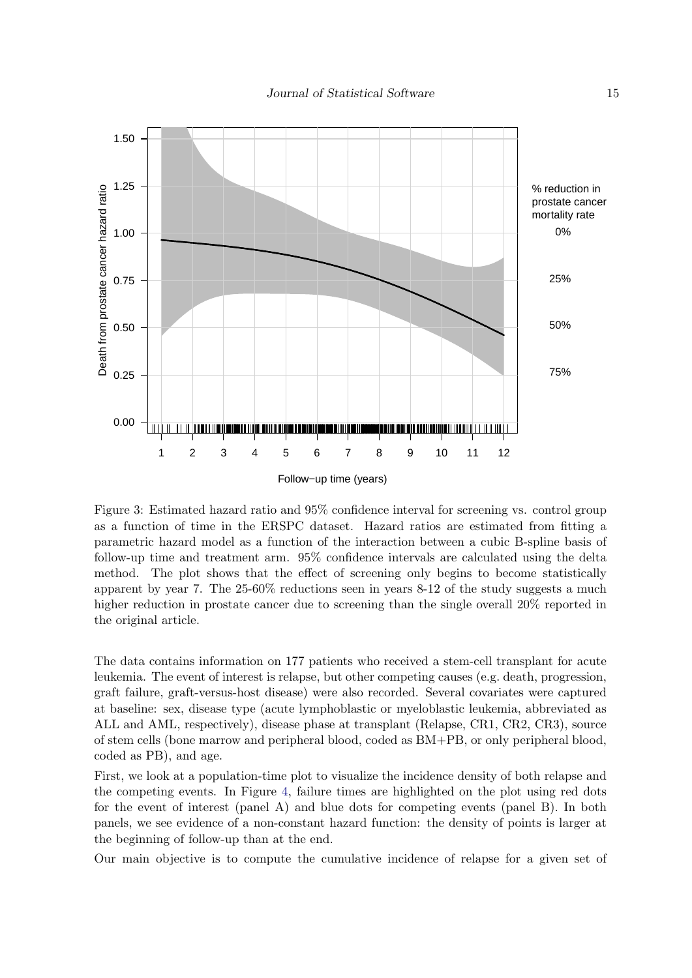

<span id="page-14-0"></span>Figure 3: Estimated hazard ratio and 95% confidence interval for screening vs. control group as a function of time in the ERSPC dataset. Hazard ratios are estimated from fitting a parametric hazard model as a function of the interaction between a cubic B-spline basis of follow-up time and treatment arm. 95% confidence intervals are calculated using the delta method. The plot shows that the effect of screening only begins to become statistically apparent by year 7. The 25-60% reductions seen in years 8-12 of the study suggests a much higher reduction in prostate cancer due to screening than the single overall 20% reported in the original article.

The data contains information on 177 patients who received a stem-cell transplant for acute leukemia. The event of interest is relapse, but other competing causes (e.g. death, progression, graft failure, graft-versus-host disease) were also recorded. Several covariates were captured at baseline: sex, disease type (acute lymphoblastic or myeloblastic leukemia, abbreviated as ALL and AML, respectively), disease phase at transplant (Relapse, CR1, CR2, CR3), source of stem cells (bone marrow and peripheral blood, coded as BM+PB, or only peripheral blood, coded as PB), and age.

First, we look at a population-time plot to visualize the incidence density of both relapse and the competing events. In Figure [4,](#page-15-0) failure times are highlighted on the plot using red dots for the event of interest (panel A) and blue dots for competing events (panel B). In both panels, we see evidence of a non-constant hazard function: the density of points is larger at the beginning of follow-up than at the end.

Our main objective is to compute the cumulative incidence of relapse for a given set of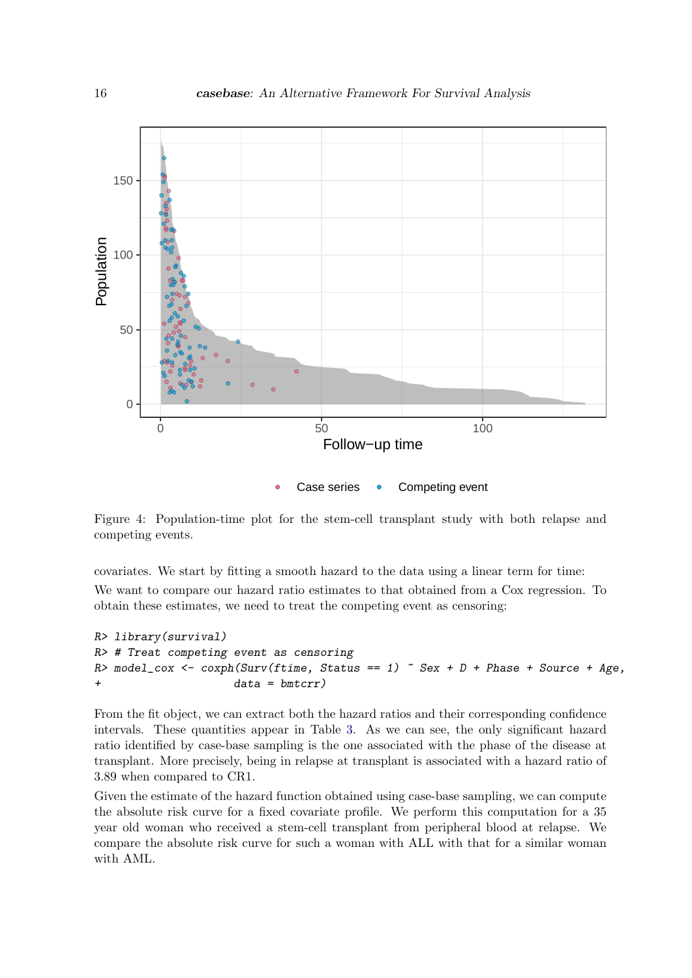

Case series • Competing event

<span id="page-15-0"></span>Figure 4: Population-time plot for the stem-cell transplant study with both relapse and competing events.

covariates. We start by fitting a smooth hazard to the data using a linear term for time:

We want to compare our hazard ratio estimates to that obtained from a Cox regression. To obtain these estimates, we need to treat the competing event as censoring:

```
R> library(survival)
R> # Treat competing event as censoring
R> model_cox <- coxph(Surv(ftime, Status == 1) \tilde{ } Sex + D + Phase + Source + Age,
+ data = bmtcrr)
```
From the fit object, we can extract both the hazard ratios and their corresponding confidence intervals. These quantities appear in Table [3.](#page-16-0) As we can see, the only significant hazard ratio identified by case-base sampling is the one associated with the phase of the disease at transplant. More precisely, being in relapse at transplant is associated with a hazard ratio of 3.89 when compared to CR1.

Given the estimate of the hazard function obtained using case-base sampling, we can compute the absolute risk curve for a fixed covariate profile. We perform this computation for a 35 year old woman who received a stem-cell transplant from peripheral blood at relapse. We compare the absolute risk curve for such a woman with ALL with that for a similar woman with AML.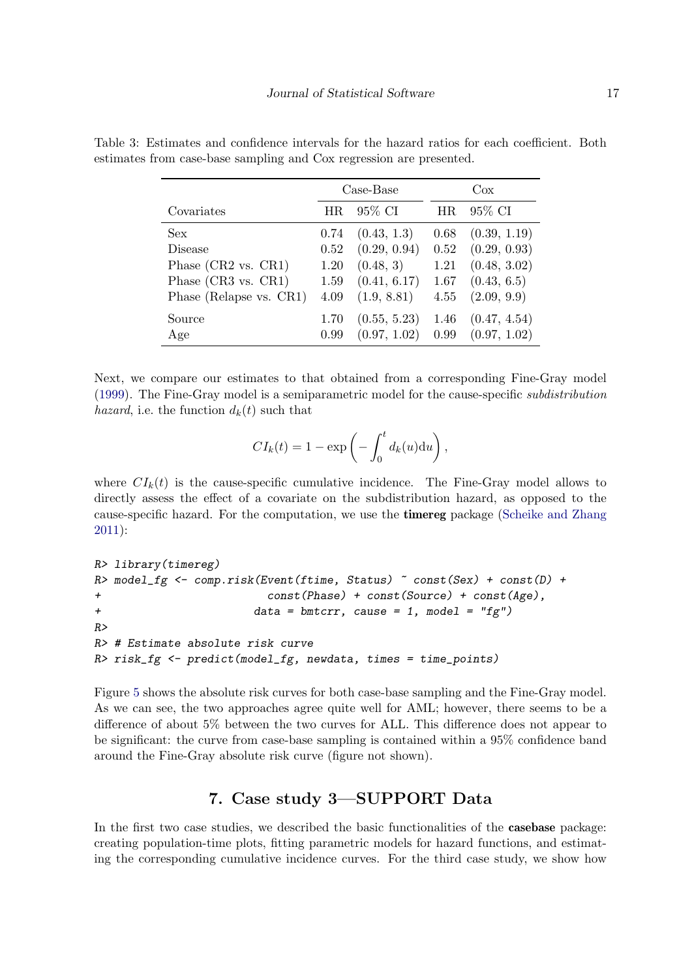|                                | Case-Base |              | $\cos$ |              |
|--------------------------------|-----------|--------------|--------|--------------|
| Covariates                     | HR.       | 95% CI       | HR     | 95% CI       |
| <b>Sex</b>                     | 0.74      | (0.43, 1.3)  | 0.68   | (0.39, 1.19) |
| Disease                        | 0.52      | (0.29, 0.94) | 0.52   | (0.29, 0.93) |
| Phase $(CR2 \text{ vs. } CR1)$ | 1.20      | (0.48, 3)    | 1.21   | (0.48, 3.02) |
| Phase (CR3 vs. CR1)            | 1.59      | (0.41, 6.17) | 1.67   | (0.43, 6.5)  |
| Phase (Relapse vs. CR1)        | 4.09      | (1.9, 8.81)  | 4.55   | (2.09, 9.9)  |
| Source                         | 1.70      | (0.55, 5.23) | 1.46   | (0.47, 4.54) |
| Age                            | 0.99      | (0.97, 1.02) | 0.99   | (0.97, 1.02) |

<span id="page-16-0"></span>Table 3: Estimates and confidence intervals for the hazard ratios for each coefficient. Both estimates from case-base sampling and Cox regression are presented.

Next, we compare our estimates to that obtained from a corresponding Fine-Gray model [\(1999\)](#page-27-7). The Fine-Gray model is a semiparametric model for the cause-specific subdistribution *hazard*, i.e. the function  $d_k(t)$  such that

$$
CI_k(t) = 1 - \exp\left(-\int_0^t d_k(u) \mathrm{d}u\right),\,
$$

where  $CI_k(t)$  is the cause-specific cumulative incidence. The Fine-Gray model allows to directly assess the effect of a covariate on the subdistribution hazard, as opposed to the cause-specific hazard. For the computation, we use the timereg package [\(Scheike and Zhang](#page-28-14) [2011\)](#page-28-14):

```
R> library(timereg)
R> model_fg <- comp.risk(Event(ftime, Status) ~ const(Sex) + const(D) +
+ const(Phase) + const(Source) + const(Age),
+ data = bmtcrr, cause = 1, model = "fg")
R>
R> # Estimate absolute risk curve
R> risk_fg <- predict(model_fg, newdata, times = time_points)
```
Figure [5](#page-17-0) shows the absolute risk curves for both case-base sampling and the Fine-Gray model. As we can see, the two approaches agree quite well for AML; however, there seems to be a difference of about 5% between the two curves for ALL. This difference does not appear to be significant: the curve from case-base sampling is contained within a 95% confidence band around the Fine-Gray absolute risk curve (figure not shown).

# 7. Case study 3—SUPPORT Data

In the first two case studies, we described the basic functionalities of the **casebase** package: creating population-time plots, fitting parametric models for hazard functions, and estimating the corresponding cumulative incidence curves. For the third case study, we show how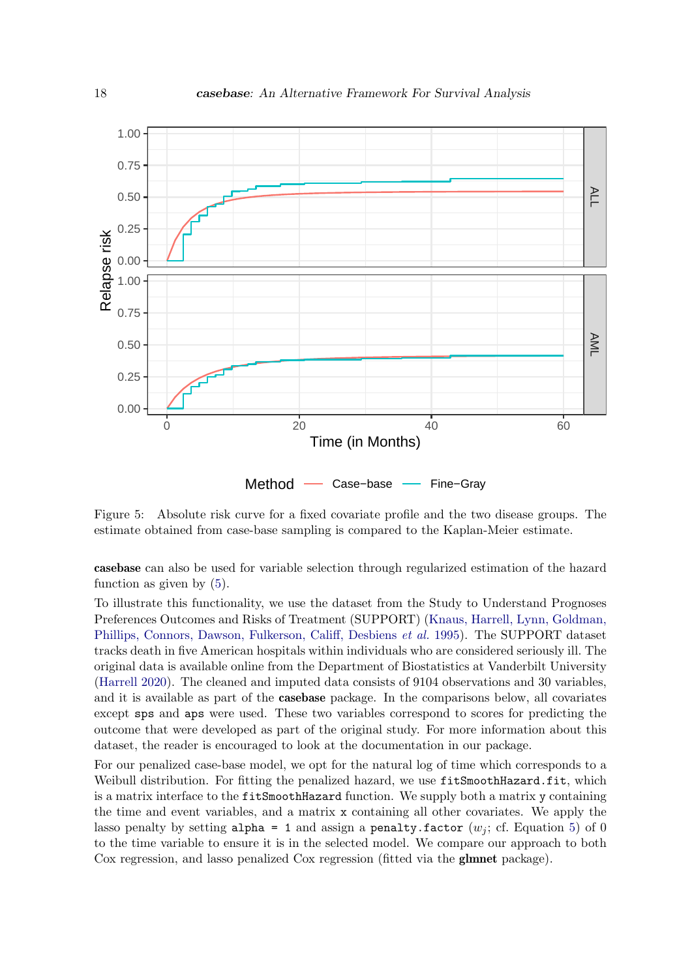

Method – Case–base – Fine–Gray

<span id="page-17-0"></span>Figure 5: Absolute risk curve for a fixed covariate profile and the two disease groups. The estimate obtained from case-base sampling is compared to the Kaplan-Meier estimate.

casebase can also be used for variable selection through regularized estimation of the hazard function as given by [\(5\)](#page-4-1).

To illustrate this functionality, we use the dataset from the Study to Understand Prognoses Preferences Outcomes and Risks of Treatment (SUPPORT) [\(Knaus, Harrell, Lynn, Goldman,](#page-27-11) [Phillips, Connors, Dawson, Fulkerson, Califf, Desbiens](#page-27-11) et al. [1995\)](#page-27-11). The SUPPORT dataset tracks death in five American hospitals within individuals who are considered seriously ill. The original data is available online from the Department of Biostatistics at Vanderbilt University [\(Harrell](#page-27-12) [2020\)](#page-27-12). The cleaned and imputed data consists of 9104 observations and 30 variables, and it is available as part of the casebase package. In the comparisons below, all covariates except sps and aps were used. These two variables correspond to scores for predicting the outcome that were developed as part of the original study. For more information about this dataset, the reader is encouraged to look at the documentation in our package.

For our penalized case-base model, we opt for the natural log of time which corresponds to a Weibull distribution. For fitting the penalized hazard, we use fitSmoothHazard.fit, which is a matrix interface to the fitSmoothHazard function. We supply both a matrix y containing the time and event variables, and a matrix x containing all other covariates. We apply the lasso penalty by setting alpha = 1 and assign a penalty.factor  $(w_i; cf. Equation 5)$  $(w_i; cf. Equation 5)$  of 0 to the time variable to ensure it is in the selected model. We compare our approach to both Cox regression, and lasso penalized Cox regression (fitted via the glmnet package).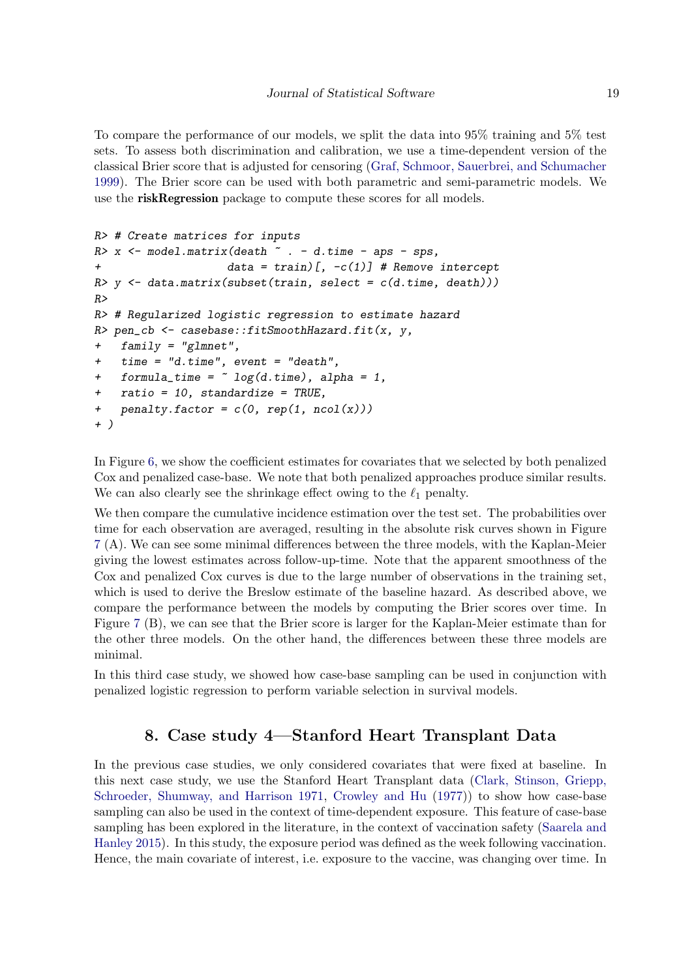To compare the performance of our models, we split the data into 95% training and 5% test sets. To assess both discrimination and calibration, we use a time-dependent version of the classical Brier score that is adjusted for censoring [\(Graf, Schmoor, Sauerbrei, and Schumacher](#page-27-13) [1999\)](#page-27-13). The Brier score can be used with both parametric and semi-parametric models. We use the riskRegression package to compute these scores for all models.

```
R> # Create matrices for inputs
R > x <- model.matrix(death \tilde{ } . - d.time - aps - sps,
+ data = train)[, -c(1)] # Remove intercept
R y \leftarrow data.matrix(subset(train, select = c(d.time, death)))
RR> # Regularized logistic regression to estimate hazard
R> pen_cb <- casebase::fitSmoothHazard.fit(x, y,
+ family = "glmnet",
+ time = "d.time", event = "death",
+ formula_time = \degree log(d.time), alpha = 1,
+ ratio = 10, standardize = TRUE,
+ penalty.factor = c(0, rep(1, ncol(x)))+ )
```
In Figure [6,](#page-19-0) we show the coefficient estimates for covariates that we selected by both penalized Cox and penalized case-base. We note that both penalized approaches produce similar results. We can also clearly see the shrinkage effect owing to the  $\ell_1$  penalty.

We then compare the cumulative incidence estimation over the test set. The probabilities over time for each observation are averaged, resulting in the absolute risk curves shown in Figure [7](#page-20-0) (A). We can see some minimal differences between the three models, with the Kaplan-Meier giving the lowest estimates across follow-up-time. Note that the apparent smoothness of the Cox and penalized Cox curves is due to the large number of observations in the training set, which is used to derive the Breslow estimate of the baseline hazard. As described above, we compare the performance between the models by computing the Brier scores over time. In Figure [7](#page-20-0) (B), we can see that the Brier score is larger for the Kaplan-Meier estimate than for the other three models. On the other hand, the differences between these three models are minimal.

In this third case study, we showed how case-base sampling can be used in conjunction with penalized logistic regression to perform variable selection in survival models.

# 8. Case study 4—Stanford Heart Transplant Data

In the previous case studies, we only considered covariates that were fixed at baseline. In this next case study, we use the Stanford Heart Transplant data [\(Clark, Stinson, Griepp,](#page-26-4) [Schroeder, Shumway, and Harrison](#page-26-4) [1971,](#page-26-4) [Crowley and Hu](#page-27-14) [\(1977\)](#page-27-14)) to show how case-base sampling can also be used in the context of time-dependent exposure. This feature of case-base sampling has been explored in the literature, in the context of vaccination safety [\(Saarela and](#page-28-15) [Hanley](#page-28-15) [2015\)](#page-28-15). In this study, the exposure period was defined as the week following vaccination. Hence, the main covariate of interest, i.e. exposure to the vaccine, was changing over time. In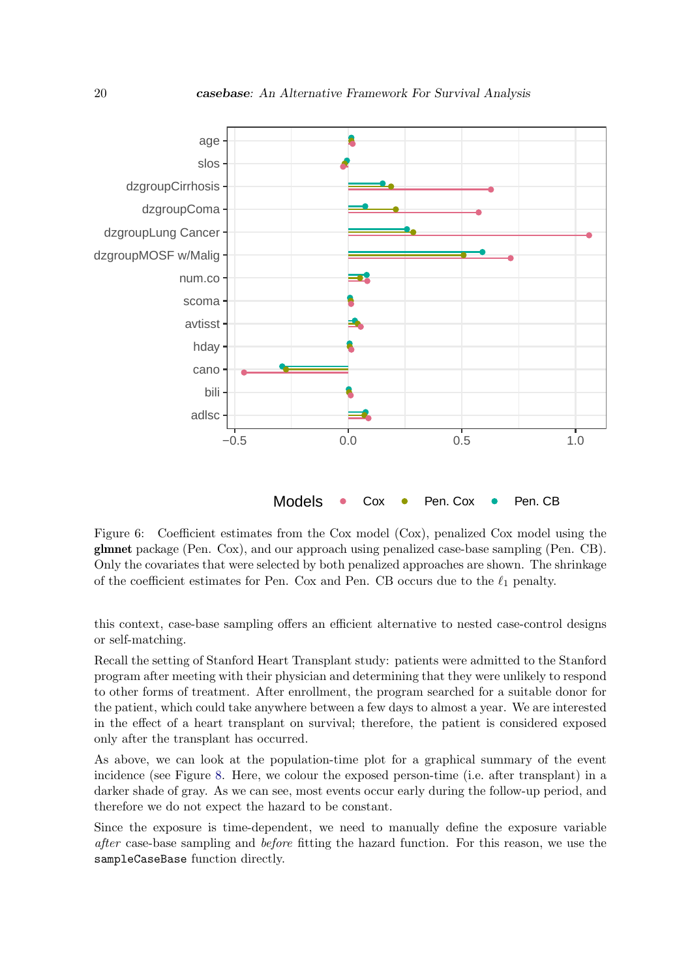

<span id="page-19-0"></span>Figure 6: Coefficient estimates from the Cox model (Cox), penalized Cox model using the glmnet package (Pen. Cox), and our approach using penalized case-base sampling (Pen. CB). Only the covariates that were selected by both penalized approaches are shown. The shrinkage of the coefficient estimates for Pen. Cox and Pen. CB occurs due to the  $\ell_1$  penalty.

this context, case-base sampling offers an efficient alternative to nested case-control designs or self-matching.

Recall the setting of Stanford Heart Transplant study: patients were admitted to the Stanford program after meeting with their physician and determining that they were unlikely to respond to other forms of treatment. After enrollment, the program searched for a suitable donor for the patient, which could take anywhere between a few days to almost a year. We are interested in the effect of a heart transplant on survival; therefore, the patient is considered exposed only after the transplant has occurred.

As above, we can look at the population-time plot for a graphical summary of the event incidence (see Figure [8.](#page-21-0) Here, we colour the exposed person-time (i.e. after transplant) in a darker shade of gray. As we can see, most events occur early during the follow-up period, and therefore we do not expect the hazard to be constant.

Since the exposure is time-dependent, we need to manually define the exposure variable after case-base sampling and before fitting the hazard function. For this reason, we use the sampleCaseBase function directly.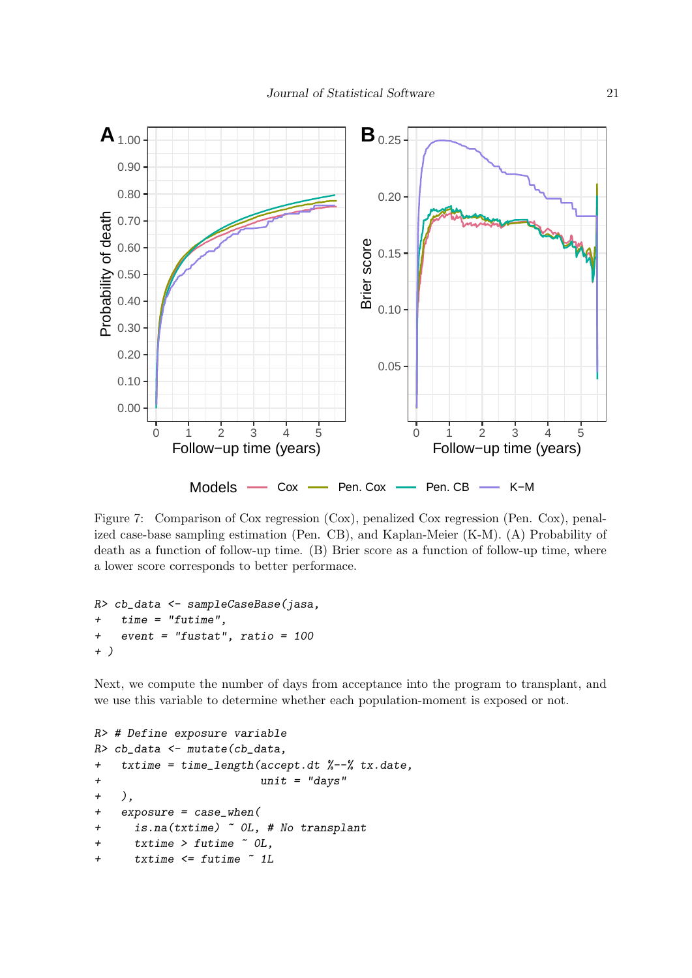

<span id="page-20-0"></span>Figure 7: Comparison of Cox regression (Cox), penalized Cox regression (Pen. Cox), penalized case-base sampling estimation (Pen. CB), and Kaplan-Meier (K-M). (A) Probability of death as a function of follow-up time. (B) Brier score as a function of follow-up time, where a lower score corresponds to better performace.

```
R> cb_data <- sampleCaseBase(jasa,
+ time = "futime",
+ event = "fustat", ratio = 100
+ )
```
Next, we compute the number of days from acceptance into the program to transplant, and we use this variable to determine whether each population-moment is exposed or not.

```
R> # Define exposure variable
R> cb_data <- mutate(cb_data,
+ txtime = time_length(accept.dt %--% tx.date,
+ unit = "days"
+ ),
+ exposure = case_when(
+ is.na(txtime) ~ 0L, # No transplant
+ txtime > futime ~ 0L,
+ txtime <= futime ~ 1L
```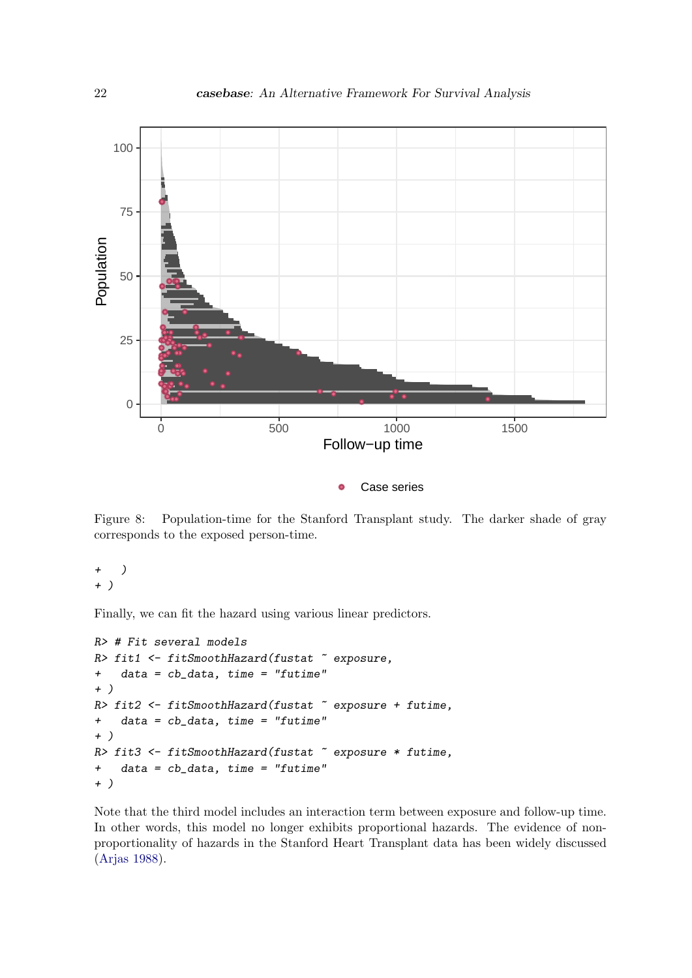

Case series  $\bullet$ 

<span id="page-21-0"></span>Figure 8: Population-time for the Stanford Transplant study. The darker shade of gray corresponds to the exposed person-time.

+ ) + )

Finally, we can fit the hazard using various linear predictors.

```
R> # Fit several models
R> fit1 <- fitSmoothHazard(fustat "exposure,
+ data = cb_data, time = "futime"
+ )
R> fit2 <- fitSmoothHazard(fustat \tilde{ } exposure + futime,
+ data = cb_data, time = "futime"
+ )
R> fit3 <- fitSmoothHazard(fustat \tilde{ } exposure * futime,
+ data = cb_data, time = "futime"
+ )
```
Note that the third model includes an interaction term between exposure and follow-up time. In other words, this model no longer exhibits proportional hazards. The evidence of nonproportionality of hazards in the Stanford Heart Transplant data has been widely discussed [\(Arjas](#page-26-5) [1988\)](#page-26-5).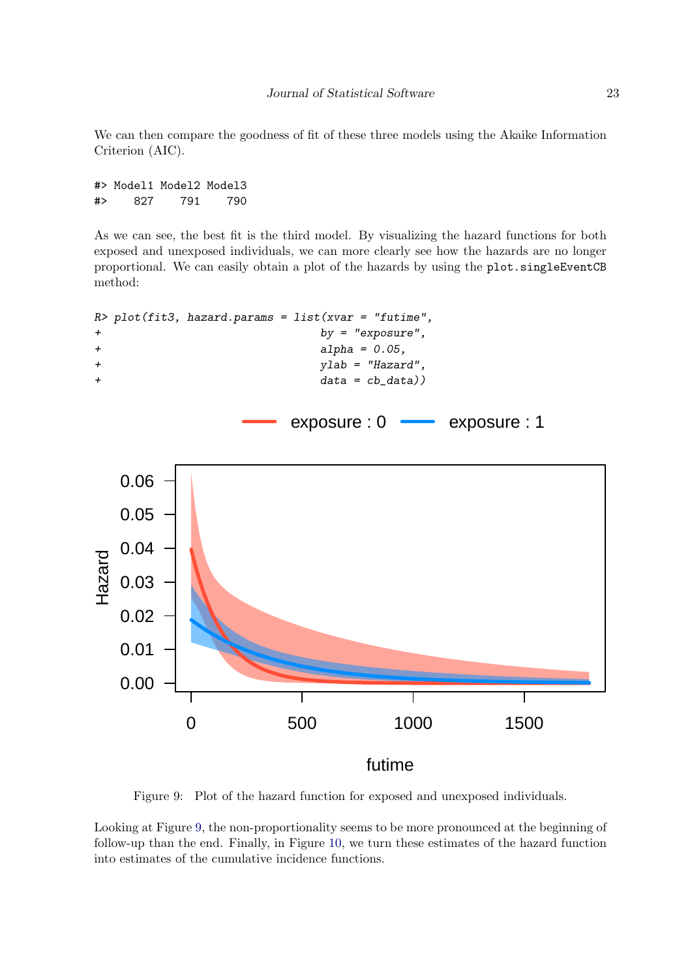We can then compare the goodness of fit of these three models using the Akaike Information Criterion (AIC).

#> Model1 Model2 Model3 #> 827 791 790

As we can see, the best fit is the third model. By visualizing the hazard functions for both exposed and unexposed individuals, we can more clearly see how the hazards are no longer proportional. We can easily obtain a plot of the hazards by using the plot.singleEventCB method:



<span id="page-22-0"></span>Figure 9: Plot of the hazard function for exposed and unexposed individuals.

Looking at Figure [9,](#page-22-0) the non-proportionality seems to be more pronounced at the beginning of follow-up than the end. Finally, in Figure [10,](#page-23-0) we turn these estimates of the hazard function into estimates of the cumulative incidence functions.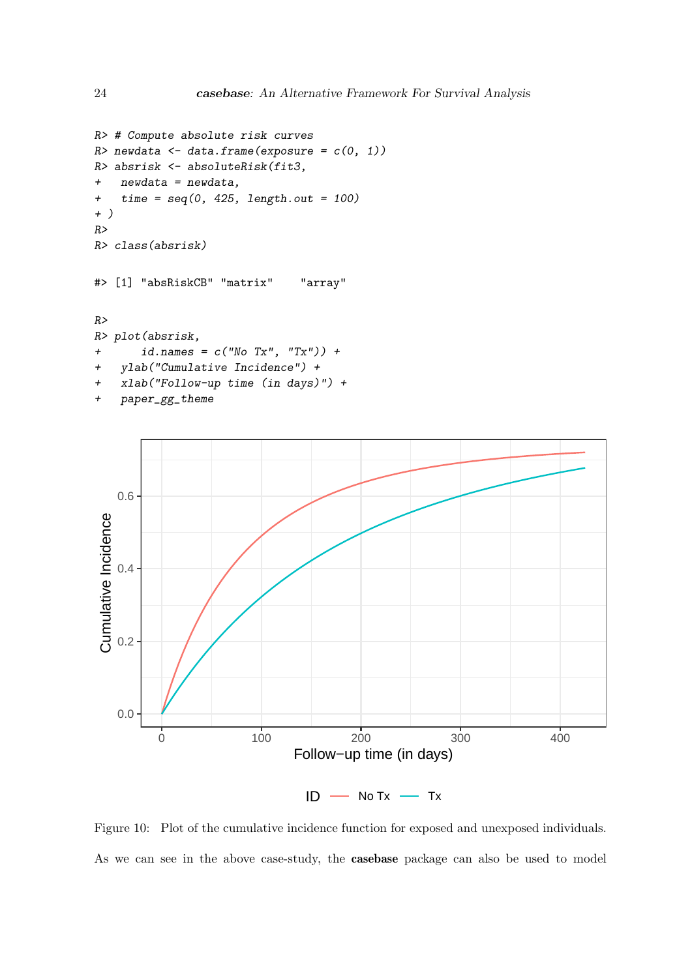```
R> # Compute absolute risk curves
R newdata \leftarrow data.frame(exposure = c(0, 1))
R> absrisk <- absoluteRisk(fit3,
+ newdata = newdata,
+ time = seq(0, 425, length.out = 100)+ )
R>R> class(absrisk)
#> [1] "absRiskCB" "matrix" "array"
R>R> plot(absrisk,
+ id.name = c("No Tx", "Tx") +
+ ylab("Cumulative Incidence") +
+ xlab("Follow-up time (in days)") +
+ paper_gg_theme
```


<span id="page-23-0"></span>Figure 10: Plot of the cumulative incidence function for exposed and unexposed individuals. As we can see in the above case-study, the casebase package can also be used to model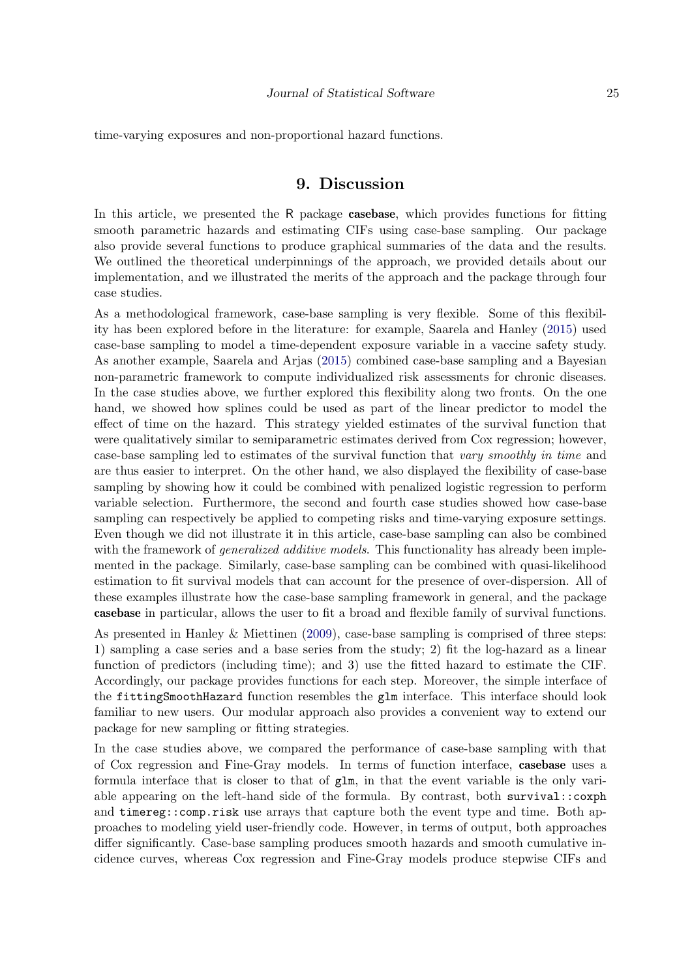time-varying exposures and non-proportional hazard functions.

# 9. Discussion

In this article, we presented the R package casebase, which provides functions for fitting smooth parametric hazards and estimating CIFs using case-base sampling. Our package also provide several functions to produce graphical summaries of the data and the results. We outlined the theoretical underpinnings of the approach, we provided details about our implementation, and we illustrated the merits of the approach and the package through four case studies.

As a methodological framework, case-base sampling is very flexible. Some of this flexibility has been explored before in the literature: for example, Saarela and Hanley [\(2015\)](#page-28-15) used case-base sampling to model a time-dependent exposure variable in a vaccine safety study. As another example, Saarela and Arjas [\(2015\)](#page-28-1) combined case-base sampling and a Bayesian non-parametric framework to compute individualized risk assessments for chronic diseases. In the case studies above, we further explored this flexibility along two fronts. On the one hand, we showed how splines could be used as part of the linear predictor to model the effect of time on the hazard. This strategy yielded estimates of the survival function that were qualitatively similar to semiparametric estimates derived from Cox regression; however, case-base sampling led to estimates of the survival function that vary smoothly in time and are thus easier to interpret. On the other hand, we also displayed the flexibility of case-base sampling by showing how it could be combined with penalized logistic regression to perform variable selection. Furthermore, the second and fourth case studies showed how case-base sampling can respectively be applied to competing risks and time-varying exposure settings. Even though we did not illustrate it in this article, case-base sampling can also be combined with the framework of *generalized additive models*. This functionality has already been implemented in the package. Similarly, case-base sampling can be combined with quasi-likelihood estimation to fit survival models that can account for the presence of over-dispersion. All of these examples illustrate how the case-base sampling framework in general, and the package casebase in particular, allows the user to fit a broad and flexible family of survival functions.

As presented in Hanley & Miettinen [\(2009\)](#page-27-1), case-base sampling is comprised of three steps: 1) sampling a case series and a base series from the study; 2) fit the log-hazard as a linear function of predictors (including time); and 3) use the fitted hazard to estimate the CIF. Accordingly, our package provides functions for each step. Moreover, the simple interface of the fittingSmoothHazard function resembles the glm interface. This interface should look familiar to new users. Our modular approach also provides a convenient way to extend our package for new sampling or fitting strategies.

In the case studies above, we compared the performance of case-base sampling with that of Cox regression and Fine-Gray models. In terms of function interface, casebase uses a formula interface that is closer to that of glm, in that the event variable is the only variable appearing on the left-hand side of the formula. By contrast, both survival::coxph and timereg::comp.risk use arrays that capture both the event type and time. Both approaches to modeling yield user-friendly code. However, in terms of output, both approaches differ significantly. Case-base sampling produces smooth hazards and smooth cumulative incidence curves, whereas Cox regression and Fine-Gray models produce stepwise CIFs and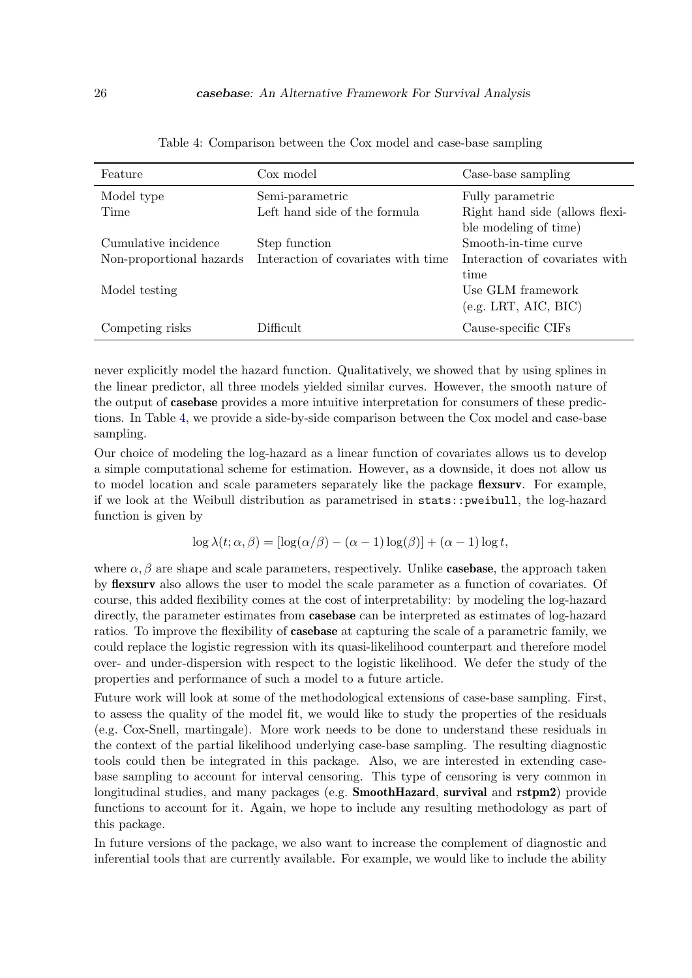<span id="page-25-0"></span>

| Feature                  | Cox model                           | Case-base sampling             |  |
|--------------------------|-------------------------------------|--------------------------------|--|
| Model type               | Semi-parametric                     | Fully parametric               |  |
| Time                     | Left hand side of the formula       | Right hand side (allows flexi- |  |
|                          |                                     | ble modeling of time)          |  |
| Cumulative incidence     | Step function                       | Smooth-in-time curve           |  |
| Non-proportional hazards | Interaction of covariates with time | Interaction of covariates with |  |
|                          |                                     | time                           |  |
| Model testing            |                                     | Use GLM framework              |  |
|                          |                                     | (e.g. LRT, AIC, BIC)           |  |
| Competing risks          | Difficult                           | Cause-specific CIFs            |  |

Table 4: Comparison between the Cox model and case-base sampling

never explicitly model the hazard function. Qualitatively, we showed that by using splines in the linear predictor, all three models yielded similar curves. However, the smooth nature of the output of casebase provides a more intuitive interpretation for consumers of these predictions. In Table [4,](#page-25-0) we provide a side-by-side comparison between the Cox model and case-base sampling.

Our choice of modeling the log-hazard as a linear function of covariates allows us to develop a simple computational scheme for estimation. However, as a downside, it does not allow us to model location and scale parameters separately like the package flexsurv. For example, if we look at the Weibull distribution as parametrised in stats::pweibull, the log-hazard function is given by

$$
\log \lambda(t; \alpha, \beta) = [\log(\alpha/\beta) - (\alpha - 1)\log(\beta)] + (\alpha - 1)\log t,
$$

where  $\alpha$ ,  $\beta$  are shape and scale parameters, respectively. Unlike **casebase**, the approach taken by flexsurv also allows the user to model the scale parameter as a function of covariates. Of course, this added flexibility comes at the cost of interpretability: by modeling the log-hazard directly, the parameter estimates from **casebase** can be interpreted as estimates of log-hazard ratios. To improve the flexibility of casebase at capturing the scale of a parametric family, we could replace the logistic regression with its quasi-likelihood counterpart and therefore model over- and under-dispersion with respect to the logistic likelihood. We defer the study of the properties and performance of such a model to a future article.

Future work will look at some of the methodological extensions of case-base sampling. First, to assess the quality of the model fit, we would like to study the properties of the residuals (e.g. Cox-Snell, martingale). More work needs to be done to understand these residuals in the context of the partial likelihood underlying case-base sampling. The resulting diagnostic tools could then be integrated in this package. Also, we are interested in extending casebase sampling to account for interval censoring. This type of censoring is very common in longitudinal studies, and many packages (e.g. SmoothHazard, survival and rstpm2) provide functions to account for it. Again, we hope to include any resulting methodology as part of this package.

In future versions of the package, we also want to increase the complement of diagnostic and inferential tools that are currently available. For example, we would like to include the ability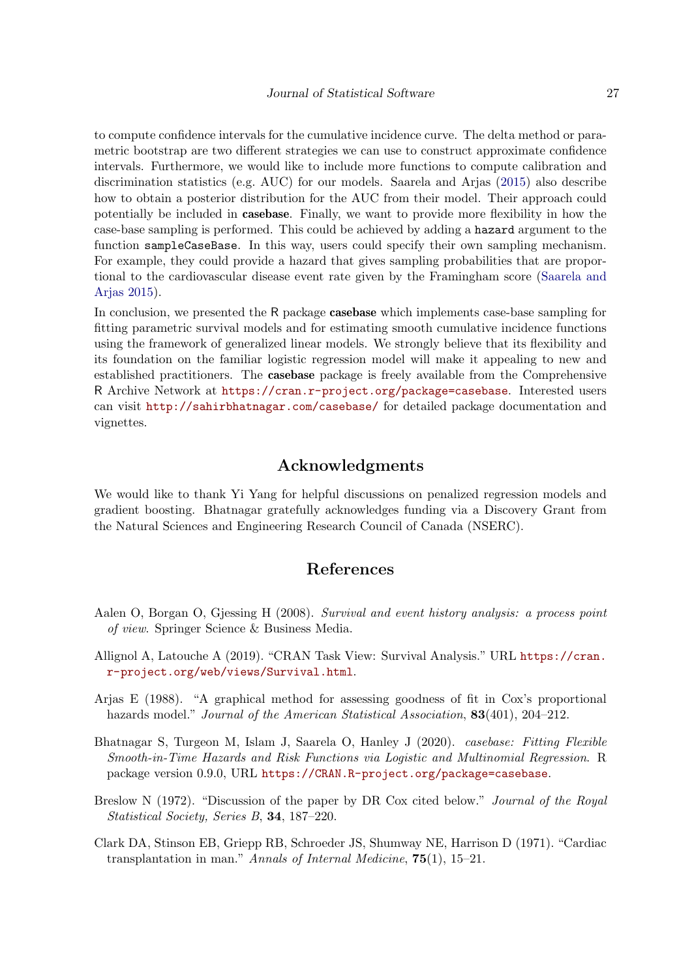to compute confidence intervals for the cumulative incidence curve. The delta method or parametric bootstrap are two different strategies we can use to construct approximate confidence intervals. Furthermore, we would like to include more functions to compute calibration and discrimination statistics (e.g. AUC) for our models. Saarela and Arjas [\(2015\)](#page-28-1) also describe how to obtain a posterior distribution for the AUC from their model. Their approach could potentially be included in casebase. Finally, we want to provide more flexibility in how the case-base sampling is performed. This could be achieved by adding a hazard argument to the function sampleCaseBase. In this way, users could specify their own sampling mechanism. For example, they could provide a hazard that gives sampling probabilities that are proportional to the cardiovascular disease event rate given by the Framingham score [\(Saarela and](#page-28-1) [Arjas](#page-28-1) [2015\)](#page-28-1).

In conclusion, we presented the R package **casebase** which implements case-base sampling for fitting parametric survival models and for estimating smooth cumulative incidence functions using the framework of generalized linear models. We strongly believe that its flexibility and its foundation on the familiar logistic regression model will make it appealing to new and established practitioners. The casebase package is freely available from the Comprehensive R Archive Network at <https://cran.r-project.org/package=casebase>. Interested users can visit <http://sahirbhatnagar.com/casebase/> for detailed package documentation and vignettes.

#### Acknowledgments

We would like to thank Yi Yang for helpful discussions on penalized regression models and gradient boosting. Bhatnagar gratefully acknowledges funding via a Discovery Grant from the Natural Sciences and Engineering Research Council of Canada (NSERC).

# References

- <span id="page-26-2"></span>Aalen O, Borgan O, Gjessing H (2008). Survival and event history analysis: a process point of view. Springer Science & Business Media.
- <span id="page-26-3"></span>Allignol A, Latouche A (2019). "CRAN Task View: Survival Analysis." URL [https://cran.](https://cran.r-project.org/web/views/Survival.html) [r-project.org/web/views/Survival.html](https://cran.r-project.org/web/views/Survival.html).
- <span id="page-26-5"></span>Arjas E (1988). "A graphical method for assessing goodness of fit in Cox's proportional hazards model." *Journal of the American Statistical Association*, **83**(401), 204–212.
- <span id="page-26-1"></span>Bhatnagar S, Turgeon M, Islam J, Saarela O, Hanley J (2020). casebase: Fitting Flexible Smooth-in-Time Hazards and Risk Functions via Logistic and Multinomial Regression. R package version 0.9.0, URL <https://CRAN.R-project.org/package=casebase>.
- <span id="page-26-0"></span>Breslow N (1972). "Discussion of the paper by DR Cox cited below." Journal of the Royal Statistical Society, Series B, 34, 187–220.
- <span id="page-26-4"></span>Clark DA, Stinson EB, Griepp RB, Schroeder JS, Shumway NE, Harrison D (1971). "Cardiac transplantation in man." Annals of Internal Medicine, 75(1), 15–21.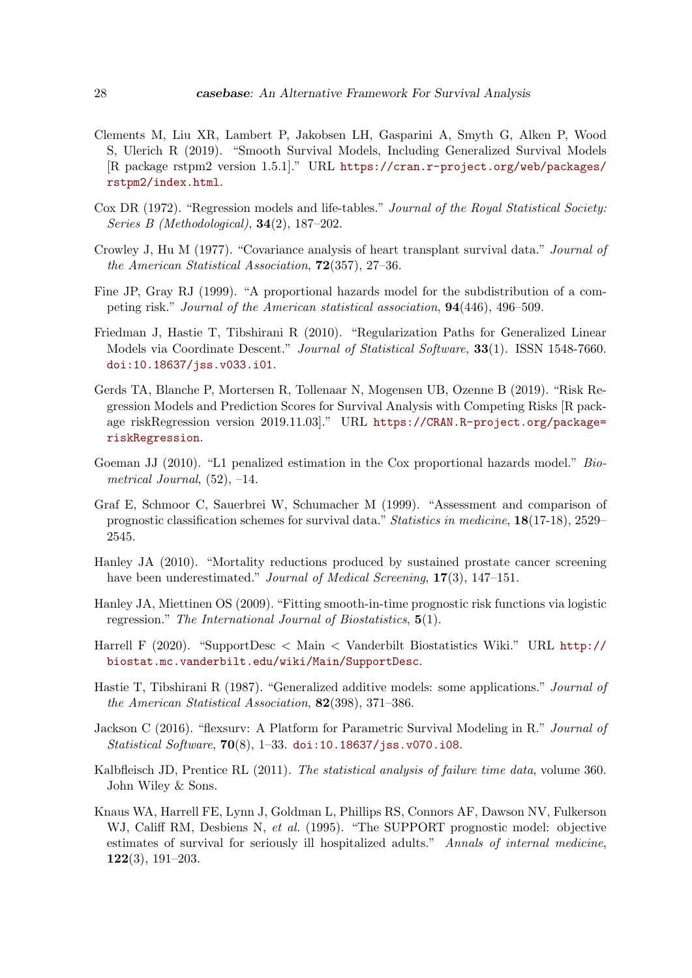- <span id="page-27-4"></span>Clements M, Liu XR, Lambert P, Jakobsen LH, Gasparini A, Smyth G, Alken P, Wood S, Ulerich R (2019). "Smooth Survival Models, Including Generalized Survival Models [R package rstpm2 version 1.5.1]." URL [https://cran.r-project.org/web/packages/](https://cran.r-project.org/web/packages/rstpm2/index.html) [rstpm2/index.html](https://cran.r-project.org/web/packages/rstpm2/index.html).
- <span id="page-27-0"></span>Cox DR (1972). "Regression models and life-tables." Journal of the Royal Statistical Society: Series B (Methodological), 34(2), 187–202.
- <span id="page-27-14"></span>Crowley J, Hu M (1977). "Covariance analysis of heart transplant survival data." Journal of the American Statistical Association, 72(357), 27–36.
- <span id="page-27-7"></span>Fine JP, Gray RJ (1999). "A proportional hazards model for the subdistribution of a competing risk." Journal of the American statistical association, 94(446), 496–509.
- <span id="page-27-8"></span>Friedman J, Hastie T, Tibshirani R (2010). "Regularization Paths for Generalized Linear Models via Coordinate Descent." Journal of Statistical Software, 33(1). ISSN 1548-7660. [doi:10.18637/jss.v033.i01](https://doi.org/10.18637/jss.v033.i01).
- <span id="page-27-6"></span>Gerds TA, Blanche P, Mortersen R, Tollenaar N, Mogensen UB, Ozenne B (2019). "Risk Regression Models and Prediction Scores for Survival Analysis with Competing Risks [R package riskRegression version 2019.11.03]." URL [https://CRAN.R-project.org/package=](https://CRAN.R-project.org/package=riskRegression) [riskRegression](https://CRAN.R-project.org/package=riskRegression).
- <span id="page-27-5"></span>Goeman JJ (2010). "L1 penalized estimation in the Cox proportional hazards model." Biometrical Journal,  $(52)$ ,  $-14$ .
- <span id="page-27-13"></span>Graf E, Schmoor C, Sauerbrei W, Schumacher M (1999). "Assessment and comparison of prognostic classification schemes for survival data." Statistics in medicine, 18(17-18), 2529– 2545.
- <span id="page-27-10"></span>Hanley JA (2010). "Mortality reductions produced by sustained prostate cancer screening have been underestimated." Journal of Medical Screening, 17(3), 147-151.
- <span id="page-27-1"></span>Hanley JA, Miettinen OS (2009). "Fitting smooth-in-time prognostic risk functions via logistic regression." The International Journal of Biostatistics, 5(1).
- <span id="page-27-12"></span>Harrell F (2020). "SupportDesc < Main < Vanderbilt Biostatistics Wiki." URL [http://](http://biostat.mc.vanderbilt.edu/wiki/Main/SupportDesc) [biostat.mc.vanderbilt.edu/wiki/Main/SupportDesc](http://biostat.mc.vanderbilt.edu/wiki/Main/SupportDesc).
- <span id="page-27-9"></span>Hastie T, Tibshirani R (1987). "Generalized additive models: some applications." Journal of the American Statistical Association, 82(398), 371–386.
- <span id="page-27-3"></span>Jackson C (2016). "flexsurv: A Platform for Parametric Survival Modeling in R." Journal of Statistical Software, 70(8), 1–33. [doi:10.18637/jss.v070.i08](https://doi.org/10.18637/jss.v070.i08).
- <span id="page-27-2"></span>Kalbfleisch JD, Prentice RL (2011). The statistical analysis of failure time data, volume 360. John Wiley & Sons.
- <span id="page-27-11"></span>Knaus WA, Harrell FE, Lynn J, Goldman L, Phillips RS, Connors AF, Dawson NV, Fulkerson WJ, Califf RM, Desbiens N, et al. (1995). "The SUPPORT prognostic model: objective estimates of survival for seriously ill hospitalized adults." Annals of internal medicine, 122(3), 191–203.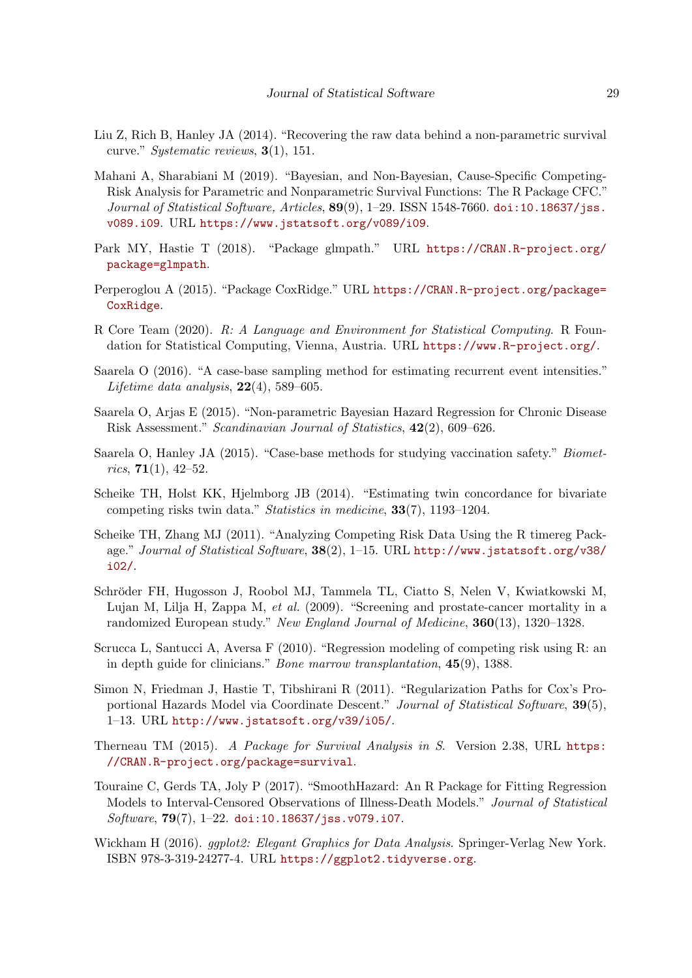- <span id="page-28-12"></span>Liu Z, Rich B, Hanley JA (2014). "Recovering the raw data behind a non-parametric survival curve." Systematic reviews, 3(1), 151.
- <span id="page-28-3"></span>Mahani A, Sharabiani M (2019). "Bayesian, and Non-Bayesian, Cause-Specific Competing-Risk Analysis for Parametric and Nonparametric Survival Functions: The R Package CFC." Journal of Statistical Software, Articles,  $89(9)$ , 1–29. ISSN 1548-7660. [doi:10.18637/jss.](https://doi.org/10.18637/jss.v089.i09) [v089.i09](https://doi.org/10.18637/jss.v089.i09). URL <https://www.jstatsoft.org/v089/i09>.
- <span id="page-28-8"></span>Park MY, Hastie T (2018). "Package glmpath." URL [https://CRAN.R-project.org/](https://CRAN.R-project.org/package=glmpath) [package=glmpath](https://CRAN.R-project.org/package=glmpath).
- <span id="page-28-9"></span>Perperoglou A (2015). "Package CoxRidge." URL [https://CRAN.R-project.org/package=](https://CRAN.R-project.org/package=CoxRidge) [CoxRidge](https://CRAN.R-project.org/package=CoxRidge).
- <span id="page-28-0"></span>R Core Team (2020). R: A Language and Environment for Statistical Computing. R Foundation for Statistical Computing, Vienna, Austria. URL <https://www.R-project.org/>.
- <span id="page-28-2"></span>Saarela O (2016). "A case-base sampling method for estimating recurrent event intensities." Lifetime data analysis,  $22(4)$ , 589–605.
- <span id="page-28-1"></span>Saarela O, Arjas E (2015). "Non-parametric Bayesian Hazard Regression for Chronic Disease Risk Assessment." Scandinavian Journal of Statistics, 42(2), 609–626.
- <span id="page-28-15"></span>Saarela O, Hanley JA (2015). "Case-base methods for studying vaccination safety." Biometrics,  $71(1)$ ,  $42-52$ .
- <span id="page-28-5"></span>Scheike TH, Holst KK, Hjelmborg JB (2014). "Estimating twin concordance for bivariate competing risks twin data." Statistics in medicine, 33(7), 1193–1204.
- <span id="page-28-14"></span>Scheike TH, Zhang MJ (2011). "Analyzing Competing Risk Data Using the R timereg Package." Journal of Statistical Software,  $38(2)$ , 1–15. URL [http://www.jstatsoft.org/v38/](http://www.jstatsoft.org/v38/i02/) [i02/](http://www.jstatsoft.org/v38/i02/).
- <span id="page-28-11"></span>Schröder FH, Hugosson J, Roobol MJ, Tammela TL, Ciatto S, Nelen V, Kwiatkowski M, Lujan M, Lilja H, Zappa M, et al. (2009). "Screening and prostate-cancer mortality in a randomized European study." New England Journal of Medicine, 360(13), 1320–1328.
- <span id="page-28-13"></span>Scrucca L, Santucci A, Aversa F (2010). "Regression modeling of competing risk using R: an in depth guide for clinicians." Bone marrow transplantation, 45(9), 1388.
- <span id="page-28-7"></span>Simon N, Friedman J, Hastie T, Tibshirani R (2011). "Regularization Paths for Cox's Proportional Hazards Model via Coordinate Descent." Journal of Statistical Software, 39(5), 1–13. URL <http://www.jstatsoft.org/v39/i05/>.
- <span id="page-28-6"></span>Therneau TM (2015). A Package for Survival Analysis in S. Version 2.38, URL [https:](https://CRAN.R-project.org/package=survival) [//CRAN.R-project.org/package=survival](https://CRAN.R-project.org/package=survival).
- <span id="page-28-4"></span>Touraine C, Gerds TA, Joly P (2017). "SmoothHazard: An R Package for Fitting Regression Models to Interval-Censored Observations of Illness-Death Models." Journal of Statistical Software,  $79(7)$ , 1-22. [doi:10.18637/jss.v079.i07](https://doi.org/10.18637/jss.v079.i07).
- <span id="page-28-10"></span>Wickham H (2016). *ggplot2: Elegant Graphics for Data Analysis*. Springer-Verlag New York. ISBN 978-3-319-24277-4. URL <https://ggplot2.tidyverse.org>.